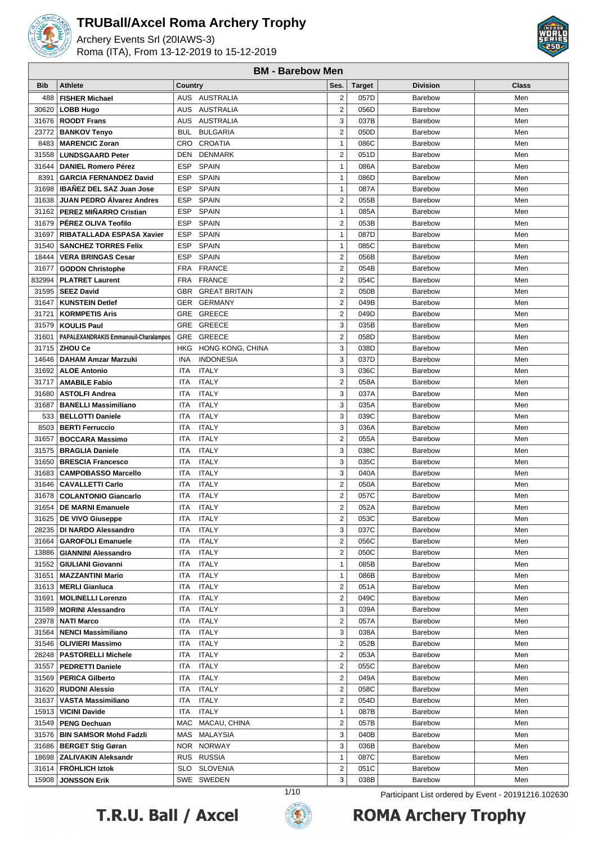

Archery Events Srl (20IAWS-3) Roma (ITA), From 13-12-2019 to 15-12-2019



|                | <b>BM - Barebow Men</b>                           |            |                              |                         |               |                    |              |  |  |
|----------------|---------------------------------------------------|------------|------------------------------|-------------------------|---------------|--------------------|--------------|--|--|
| <b>Bib</b>     | <b>Athlete</b>                                    | Country    |                              | Ses.                    | <b>Target</b> | <b>Division</b>    | <b>Class</b> |  |  |
| 488            | <b>FISHER Michael</b>                             |            | AUS AUSTRALIA                | 2                       | 057D          | Barebow            | Men          |  |  |
| 30620          | <b>LOBB Hugo</b>                                  | AUS        | AUSTRALIA                    | $\overline{2}$          | 056D          | Barebow            | Men          |  |  |
| 31676          | <b>ROODT Frans</b>                                | <b>AUS</b> | <b>AUSTRALIA</b>             | 3                       | 037B          | Barebow            | Men          |  |  |
| 23772          | <b>BANKOV Tenyo</b>                               | <b>BUL</b> | <b>BULGARIA</b>              | $\overline{2}$          | 050D          | Barebow            | Men          |  |  |
| 8483           | <b>MARENCIC Zoran</b>                             | CRO        | <b>CROATIA</b>               | 1                       | 086C          | Barebow            | Men          |  |  |
| 31558          | <b>LUNDSGAARD Peter</b>                           | DEN        | <b>DENMARK</b>               | $\overline{\mathbf{c}}$ | 051D          | Barebow            | Men          |  |  |
| 31644          | <b>DANIEL Romero Pérez</b>                        | ESP        | <b>SPAIN</b>                 | 1                       | 086A          | Barebow            | Men          |  |  |
| 8391           | <b>GARCIA FERNANDEZ David</b>                     | ESP        | <b>SPAIN</b>                 | 1                       | 086D          | Barebow            | Men          |  |  |
| 31698          | <b>IBANEZ DEL SAZ Juan Jose</b>                   | ESP        | <b>SPAIN</b>                 | 1                       | 087A          | Barebow            | Men          |  |  |
| 31638          | <b>JUAN PEDRO Álvarez Andres</b>                  | <b>ESP</b> | <b>SPAIN</b>                 | $\overline{2}$          | 055B          | Barebow            | Men          |  |  |
| 31162          | <b>PEREZ MIÑARRO Cristian</b>                     | ESP        | <b>SPAIN</b>                 | 1                       | 085A          | Barebow            | Men          |  |  |
| 31679          | PEREZ OLIVA Teofilo                               | <b>ESP</b> | <b>SPAIN</b>                 | $\overline{\mathbf{c}}$ | 053B          | Barebow            | Men          |  |  |
| 31697          | <b>RIBATALLADA ESPASA Xavier</b>                  | <b>ESP</b> | <b>SPAIN</b>                 | 1                       | 087D          | Barebow            | Men          |  |  |
| 31540          | <b>SANCHEZ TORRES Felix</b>                       | <b>ESP</b> | <b>SPAIN</b>                 | 1                       | 085C          | Barebow            | Men          |  |  |
| 18444          | <b>VERA BRINGAS Cesar</b>                         | ESP        | <b>SPAIN</b>                 | 2                       | 056B          | Barebow            | Men          |  |  |
| 31677          | <b>GODON Christophe</b>                           | <b>FRA</b> | <b>FRANCE</b>                | $\overline{2}$          | 054B          | Barebow            | Men          |  |  |
| 832994         | <b>PLATRET Laurent</b>                            | FRA        | <b>FRANCE</b>                | $\overline{2}$          | 054C          | Barebow            | Men          |  |  |
| 31595          | <b>SEEZ David</b>                                 | GBR        | <b>GREAT BRITAIN</b>         | $\overline{\mathbf{c}}$ | 050B          | Barebow            | Men          |  |  |
| 31647          | <b>KUNSTEIN Detlef</b>                            | GER.       | <b>GERMANY</b>               | $\overline{2}$          | 049B          | Barebow            | Men          |  |  |
| 31721          | <b>KORMPETIS Aris</b>                             | GRE        | <b>GREECE</b>                | $\overline{2}$          | 049D          | Barebow            | Men          |  |  |
| 31579          | <b>KOULIS Paul</b>                                | GRE        | <b>GREECE</b>                | 3                       | 035B          | Barebow            | Men          |  |  |
| 31601          | PAPALEXANDRAKIS Emmanouil-Charalampos             | GRE        | <b>GREECE</b>                | $\overline{\mathbf{c}}$ | 058D          | Barebow            | Men          |  |  |
| 31715          | <b>ZHOU Ce</b>                                    | HKG        | HONG KONG, CHINA             | 3                       | 038D          | Barebow            | Men          |  |  |
| 14646          | <b>DAHAM Amzar Marzuki</b>                        | INA        | <b>INDONESIA</b>             | 3                       | 037D          | Barebow            | Men          |  |  |
| 31692          | <b>ALOE Antonio</b>                               | <b>ITA</b> | <b>ITALY</b>                 | 3                       | 036C          | Barebow            | Men          |  |  |
| 31717          | <b>AMABILE Fabio</b>                              | <b>ITA</b> | <b>ITALY</b>                 | $\overline{2}$          | 058A          | Barebow            | Men          |  |  |
| 31680          | <b>ASTOLFI Andrea</b>                             | <b>ITA</b> | <b>ITALY</b>                 | 3                       | 037A          | Barebow            | Men          |  |  |
| 31687          | <b>BANELLI Massimiliano</b>                       | ITA        | <b>ITALY</b>                 | 3                       | 035A          | Barebow            | Men          |  |  |
| 533            | <b>BELLOTTI Daniele</b>                           | ITA        | <b>ITALY</b>                 | 3                       | 039C          | Barebow            | Men          |  |  |
| 8503           | <b>BERTI Ferruccio</b>                            | <b>ITA</b> | <b>ITALY</b>                 | 3                       | 036A          | Barebow            | Men          |  |  |
| 31657          | <b>BOCCARA Massimo</b>                            | <b>ITA</b> | <b>ITALY</b>                 | $\overline{\mathbf{c}}$ | 055A          | Barebow            | Men          |  |  |
| 31575          | <b>BRAGLIA Daniele</b>                            | <b>ITA</b> | <b>ITALY</b>                 | 3                       | 038C          | Barebow            | Men          |  |  |
| 31650          | <b>BRESCIA Francesco</b>                          | <b>ITA</b> | <b>ITALY</b>                 | 3                       | 035C          | Barebow            | Men          |  |  |
| 31683          | <b>CAMPOBASSO Marcello</b>                        | ITA        | <b>ITALY</b>                 | 3                       | 040A          | Barebow            | Men          |  |  |
| 31646          | <b>CAVALLETTI Carlo</b>                           | <b>ITA</b> | <b>ITALY</b>                 | $\overline{\mathbf{c}}$ | 050A          | <b>Barebow</b>     | Men          |  |  |
| 31678          | <b>COLANTONIO Giancarlo</b>                       | ITA        | <b>ITALY</b>                 | $\overline{\mathbf{c}}$ | 057C          | Barebow            | Men          |  |  |
| 31654          | <b>DE MARNI Emanuele</b>                          | ITA        | <b>ITALY</b>                 | $\overline{2}$          | 052A          | Barebow            | Men          |  |  |
|                | 31625   DE VIVO Giuseppe                          | ITA        | ITALY                        | 2                       | 053C          | Barebow            | Men          |  |  |
| 28235          | <b>DI NARDO Alessandro</b>                        | ITA        | <b>ITALY</b>                 | 3                       | 037C          | Barebow            | Men          |  |  |
| 31664          | <b>GAROFOLI Emanuele</b>                          | ITA        | <b>ITALY</b>                 | 2                       | 056C          | Barebow            | Men          |  |  |
| 13886          | <b>GIANNINI Alessandro</b>                        | ITA        | <b>ITALY</b>                 | 2                       | 050C          | Barebow            | Men          |  |  |
|                | 31552   GIULIANI Giovanni                         | ITA        | <b>ITALY</b>                 | 1                       | 085B          | Barebow            | Men          |  |  |
| 31651          | <b>MAZZANTINI Mario</b>                           | ITA        | <b>ITALY</b>                 | 1<br>$\overline{2}$     | 086B          | Barebow            | Men          |  |  |
| 31613<br>31691 | <b>MERLI Gianluca</b><br><b>MOLINELLI Lorenzo</b> | ITA<br>ITA | <b>ITALY</b><br><b>ITALY</b> | $\overline{2}$          | 051A<br>049C  | Barebow<br>Barebow | Men<br>Men   |  |  |
|                | 31589   MORINI Alessandro                         | ITA        | <b>ITALY</b>                 | 3                       | 039A          | Barebow            | Men          |  |  |
|                | 23978   NATI Marco                                | ITA        | <b>ITALY</b>                 | $\overline{\mathbf{c}}$ | 057A          | <b>Barebow</b>     | Men          |  |  |
|                | 31564   NENCI Massimiliano                        | ITA        | <b>ITALY</b>                 | 3                       | 038A          | Barebow            | Men          |  |  |
| 31546          | <b>OLIVIERI Massimo</b>                           | ITA        | <b>ITALY</b>                 | 2                       | 052B          | Barebow            | Men          |  |  |
| 28248          | <b>PASTORELLI Michele</b>                         | ITA        | <b>ITALY</b>                 | 2                       | 053A          | Barebow            | Men          |  |  |
| 31557          | <b>PEDRETTI Daniele</b>                           | ITA        | <b>ITALY</b>                 | 2                       | 055C          | <b>Barebow</b>     | Men          |  |  |
| 31569          | <b>PERICA Gilberto</b>                            | ITA        | <b>ITALY</b>                 | $\overline{\mathbf{c}}$ | 049A          | Barebow            | Men          |  |  |
| 31620          | <b>RUDONI Alessio</b>                             | ITA        | <b>ITALY</b>                 | $\overline{2}$          | 058C          | Barebow            | Men          |  |  |
| 31637          | <b>VASTA Massimiliano</b>                         | ITA        | <b>ITALY</b>                 | $\overline{\mathbf{c}}$ | 054D          | Barebow            | Men          |  |  |
|                | 15913   VICINI Davide                             | ITA        | <b>ITALY</b>                 | 1                       | 087B          | Barebow            | Men          |  |  |
|                | 31549   PENG Dechuan                              | MAC        | MACAU, CHINA                 | 2                       | 057B          | <b>Barebow</b>     | Men          |  |  |
|                | 31576   BIN SAMSOR Mohd Fadzli                    | MAS        | MALAYSIA                     | 3                       | 040B          | Barebow            | Men          |  |  |
| 31686          | <b>BERGET Stig Gøran</b>                          | NOR        | <b>NORWAY</b>                | 3                       | 036B          | Barebow            | Men          |  |  |
|                | 18698   ZALIVAKIN Aleksandr                       |            | RUS RUSSIA                   | 1                       | 087C          | Barebow            | Men          |  |  |
| 31614          | <b>FRÖHLICH Iztok</b>                             | SLO        | <b>SLOVENIA</b>              | 2                       | 051C          | Barebow            | Men          |  |  |
| 15908          | <b>JONSSON Erik</b>                               |            | SWE SWEDEN                   | 3                       | 038B          | Barebow            | Men          |  |  |





1/10 Participant List ordered by Event - 20191216.102630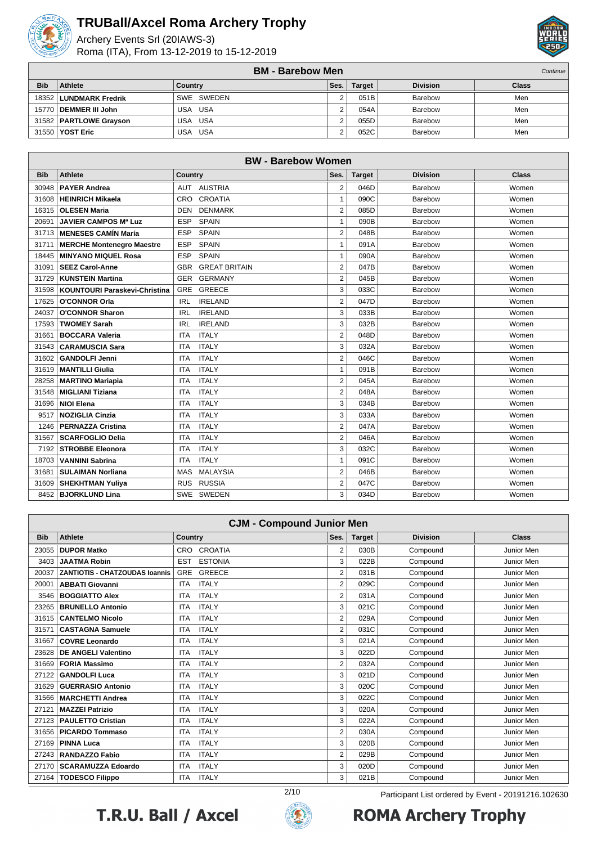

Archery Events Srl (20IAWS-3) Roma (ITA), From 13-12-2019 to 15-12-2019



|            | <b>BM - Barebow Men</b><br>Continue |                          |      |               |                 |              |  |  |  |
|------------|-------------------------------------|--------------------------|------|---------------|-----------------|--------------|--|--|--|
| <b>Bib</b> | <b>Athlete</b>                      | Country                  | Ses. | <b>Target</b> | <b>Division</b> | <b>Class</b> |  |  |  |
|            | 18352   LUNDMARK Fredrik            | SWE SWEDEN               |      | 051B          | Barebow         | Men          |  |  |  |
|            | 15770   DEMMER III John             | USA USA                  | ົ    | 054A          | Barebow         | Men          |  |  |  |
|            | 31582   PARTLOWE Grayson            | USA USA                  |      | 055D          | Barebow         | Men          |  |  |  |
| 31550      | <b>YOST Eric</b>                    | <b>USA</b><br><b>USA</b> | ົ    | 052C          | Barebow         | Men          |  |  |  |

|            | <b>BW</b> - Barebow Women        |                                    |                |               |                 |              |  |  |  |  |
|------------|----------------------------------|------------------------------------|----------------|---------------|-----------------|--------------|--|--|--|--|
| <b>Bib</b> | <b>Athlete</b>                   | <b>Country</b>                     | Ses.           | <b>Target</b> | <b>Division</b> | <b>Class</b> |  |  |  |  |
| 30948      | <b>PAYER Andrea</b>              | AUSTRIA<br>AUT                     | $\overline{2}$ | 046D          | Barebow         | Women        |  |  |  |  |
|            | 31608   HEINRICH Mikaela         | <b>CROATIA</b><br><b>CRO</b>       | $\mathbf{1}$   | 090C          | Barebow         | Women        |  |  |  |  |
| 16315      | <b>OLESEN Maria</b>              | <b>DENMARK</b><br><b>DEN</b>       | $\overline{2}$ | 085D          | Barebow         | Women        |  |  |  |  |
| 20691      | <b>JAVIER CAMPOS Mª Luz</b>      | <b>ESP</b><br><b>SPAIN</b>         | 1              | 090B          | Barebow         | Women        |  |  |  |  |
|            | 31713   MENESES CAMÍN María      | <b>ESP</b><br><b>SPAIN</b>         | $\overline{2}$ | 048B          | Barebow         | Women        |  |  |  |  |
| 31711      | <b>MERCHE Montenegro Maestre</b> | <b>SPAIN</b><br><b>ESP</b>         | 1              | 091A          | Barebow         | Women        |  |  |  |  |
| 18445      | <b>MINYANO MIQUEL Rosa</b>       | <b>ESP</b><br><b>SPAIN</b>         | $\mathbf{1}$   | 090A          | Barebow         | Women        |  |  |  |  |
| 31091      | <b>SEEZ Carol-Anne</b>           | <b>GREAT BRITAIN</b><br><b>GBR</b> | $\overline{2}$ | 047B          | Barebow         | Women        |  |  |  |  |
| 31729      | <b>KUNSTEIN Martina</b>          | <b>GER</b><br><b>GERMANY</b>       | $\overline{2}$ | 045B          | Barebow         | Women        |  |  |  |  |
| 31598      | KOUNTOURI Paraskevi-Christina    | <b>GREECE</b><br><b>GRE</b>        | 3              | 033C          | Barebow         | Women        |  |  |  |  |
| 17625      | O'CONNOR Orla                    | <b>IRELAND</b><br><b>IRL</b>       | $\overline{2}$ | 047D          | Barebow         | Women        |  |  |  |  |
| 24037      | <b>O'CONNOR Sharon</b>           | <b>IRELAND</b><br><b>IRL</b>       | 3              | 033B          | Barebow         | Women        |  |  |  |  |
| 17593      | <b>TWOMEY Sarah</b>              | <b>IRELAND</b><br><b>IRL</b>       | 3              | 032B          | Barebow         | Women        |  |  |  |  |
| 31661      | <b>BOCCARA Valeria</b>           | <b>ITALY</b><br><b>ITA</b>         | $\overline{2}$ | 048D          | Barebow         | Women        |  |  |  |  |
| 31543      | <b>CARAMUSCIA Sara</b>           | <b>ITALY</b><br><b>ITA</b>         | 3              | 032A          | Barebow         | Women        |  |  |  |  |
| 31602      | <b>GANDOLFI Jenni</b>            | <b>ITALY</b><br><b>ITA</b>         | $\overline{2}$ | 046C          | Barebow         | Women        |  |  |  |  |
| 31619      | <b>MANTILLI Giulia</b>           | <b>ITA</b><br><b>ITALY</b>         | 1              | 091B          | Barebow         | Women        |  |  |  |  |
| 28258      | <b>MARTINO Mariapia</b>          | <b>ITALY</b><br><b>ITA</b>         | $\overline{2}$ | 045A          | Barebow         | Women        |  |  |  |  |
| 31548      | <b>MIGLIANI Tiziana</b>          | <b>ITALY</b><br><b>ITA</b>         | $\overline{2}$ | 048A          | Barebow         | Women        |  |  |  |  |
| 31696      | <b>NIOI Elena</b>                | <b>ITALY</b><br><b>ITA</b>         | 3              | 034B          | Barebow         | Women        |  |  |  |  |
| 9517       | <b>NOZIGLIA Cinzia</b>           | <b>ITALY</b><br><b>ITA</b>         | 3              | 033A          | Barebow         | Women        |  |  |  |  |
|            | 1246   PERNAZZA Cristina         | <b>ITALY</b><br><b>ITA</b>         | $\overline{2}$ | 047A          | Barebow         | Women        |  |  |  |  |
| 31567      | <b>SCARFOGLIO Delia</b>          | <b>ITALY</b><br><b>ITA</b>         | $\overline{2}$ | 046A          | Barebow         | Women        |  |  |  |  |
| 7192       | <b>STROBBE Eleonora</b>          | <b>ITALY</b><br><b>ITA</b>         | 3              | 032C          | Barebow         | Women        |  |  |  |  |
| 18703      | <b>VANNINI Sabrina</b>           | <b>ITALY</b><br><b>ITA</b>         | 1              | 091C          | Barebow         | Women        |  |  |  |  |
| 31681      | <b>SULAIMAN Norliana</b>         | <b>MALAYSIA</b><br><b>MAS</b>      | $\overline{2}$ | 046B          | Barebow         | Women        |  |  |  |  |
| 31609      | <b>SHEKHTMAN Yuliya</b>          | <b>RUSSIA</b><br><b>RUS</b>        | $\overline{2}$ | 047C          | Barebow         | Women        |  |  |  |  |
| 8452       | <b>BJORKLUND Lina</b>            | SWE SWEDEN                         | 3              | 034D          | Barebow         | Women        |  |  |  |  |

|            | <b>CJM - Compound Junior Men</b>      |                              |                |               |                 |              |  |  |  |  |
|------------|---------------------------------------|------------------------------|----------------|---------------|-----------------|--------------|--|--|--|--|
| <b>Bib</b> | <b>Athlete</b>                        | <b>Country</b>               | Ses.           | <b>Target</b> | <b>Division</b> | <b>Class</b> |  |  |  |  |
| 23055      | <b>DUPOR Matko</b>                    | CRO CROATIA                  | 2              | 030B          | Compound        | Junior Men   |  |  |  |  |
| 3403       | <b>JAATMA Robin</b>                   | <b>ESTONIA</b><br><b>EST</b> | 3              | 022B          | Compound        | Junior Men   |  |  |  |  |
| 20037      | <b>ZANTIOTIS - CHATZOUDAS Ioannis</b> | <b>GREECE</b><br><b>GRE</b>  | $\overline{2}$ | 031B          | Compound        | Junior Men   |  |  |  |  |
| 20001      | <b>ABBATI Giovanni</b>                | <b>ITALY</b><br><b>ITA</b>   | $\overline{2}$ | 029C          | Compound        | Junior Men   |  |  |  |  |
| 3546       | <b>BOGGIATTO Alex</b>                 | <b>ITALY</b><br><b>ITA</b>   | $\overline{2}$ | 031A          | Compound        | Junior Men   |  |  |  |  |
| 23265      | <b>BRUNELLO Antonio</b>               | <b>ITALY</b><br><b>ITA</b>   | 3              | 021C          | Compound        | Junior Men   |  |  |  |  |
| 31615      | <b>CANTELMO Nicolo</b>                | <b>ITALY</b><br><b>ITA</b>   | 2              | 029A          | Compound        | Junior Men   |  |  |  |  |
| 31571      | <b>CASTAGNA Samuele</b>               | <b>ITALY</b><br><b>ITA</b>   | $\overline{2}$ | 031C          | Compound        | Junior Men   |  |  |  |  |
| 31667      | <b>COVRE Leonardo</b>                 | <b>ITALY</b><br><b>ITA</b>   | 3              | 021A          | Compound        | Junior Men   |  |  |  |  |
| 23628      | <b>DE ANGELI Valentino</b>            | <b>ITALY</b><br><b>ITA</b>   | 3              | 022D          | Compound        | Junior Men   |  |  |  |  |
| 31669      | <b>FORIA Massimo</b>                  | <b>ITALY</b><br><b>ITA</b>   | $\overline{2}$ | 032A          | Compound        | Junior Men   |  |  |  |  |
| 27122      | <b>GANDOLFI Luca</b>                  | <b>ITALY</b><br><b>ITA</b>   | 3              | 021D          | Compound        | Junior Men   |  |  |  |  |
| 31629      | <b>GUERRASIO Antonio</b>              | <b>ITALY</b><br><b>ITA</b>   | 3              | 020C          | Compound        | Junior Men   |  |  |  |  |
| 31566      | <b>MARCHETTI Andrea</b>               | <b>ITALY</b><br><b>ITA</b>   | 3              | 022C          | Compound        | Junior Men   |  |  |  |  |
| 27121      | <b>MAZZEI Patrizio</b>                | <b>ITALY</b><br><b>ITA</b>   | 3              | 020A          | Compound        | Junior Men   |  |  |  |  |
| 27123      | <b>PAULETTO Cristian</b>              | <b>ITALY</b><br><b>ITA</b>   | 3              | 022A          | Compound        | Junior Men   |  |  |  |  |
| 31656      | <b>PICARDO Tommaso</b>                | <b>ITALY</b><br><b>ITA</b>   | $\overline{2}$ | 030A          | Compound        | Junior Men   |  |  |  |  |
| 27169      | <b>PINNA Luca</b>                     | <b>ITALY</b><br><b>ITA</b>   | 3              | 020B          | Compound        | Junior Men   |  |  |  |  |
| 27243      | <b>RANDAZZO Fabio</b>                 | <b>ITALY</b><br><b>ITA</b>   | $\overline{2}$ | 029B          | Compound        | Junior Men   |  |  |  |  |
| 27170      | <b>SCARAMUZZA Edoardo</b>             | <b>ITALY</b><br><b>ITA</b>   | 3              | 020D          | Compound        | Junior Men   |  |  |  |  |
| 27164      | <b>TODESCO Filippo</b>                | <b>ITALY</b><br><b>ITA</b>   | 3              | 021B          | Compound        | Junior Men   |  |  |  |  |





2/10 Participant List ordered by Event - 20191216.102630**ROMA Archery Trophy**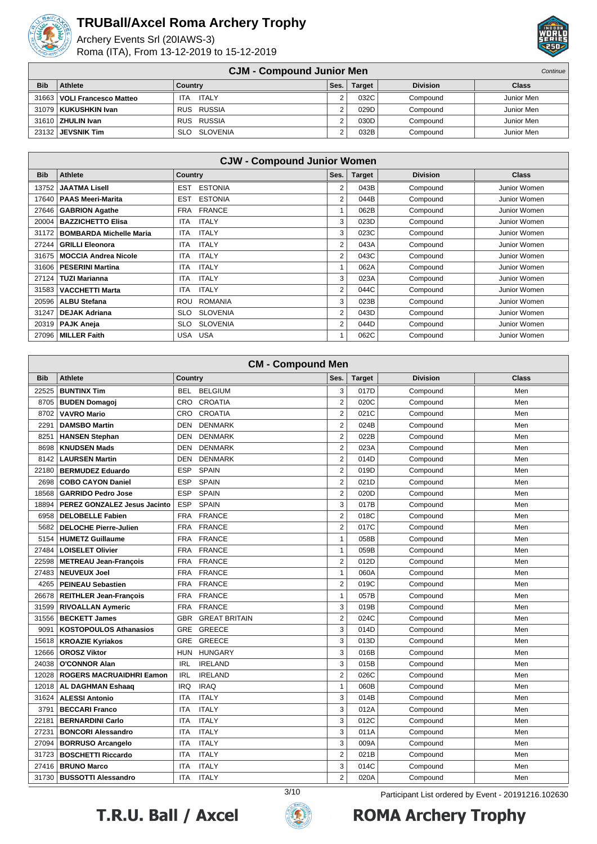

Archery Events Srl (20IAWS-3) Roma (ITA), From 13-12-2019 to 15-12-2019



|            | <b>CJM - Compound Junior Men</b><br>Continue |                            |      |               |                 |              |  |  |  |
|------------|----------------------------------------------|----------------------------|------|---------------|-----------------|--------------|--|--|--|
| <b>Bib</b> | Athlete                                      | Country                    | Ses. | <b>Target</b> | <b>Division</b> | <b>Class</b> |  |  |  |
|            | 31663   VOLI Francesco Matteo                | <b>ITALY</b><br><b>ITA</b> |      | 032C          | Compound        | Junior Men   |  |  |  |
|            | 31079   KUKUSHKIN Ivan                       | RUS RUSSIA                 |      | 029D          | Compound        | Junior Men   |  |  |  |
|            | 31610   ZHULIN Ivan                          | RUS RUSSIA                 |      | 030D          | Compound        | Junior Men   |  |  |  |
|            | 23132 JEVSNIK Tim                            | SLO SLOVENIA               |      | 032B          | Compound        | Junior Men   |  |  |  |

|            | <b>CJW - Compound Junior Women</b> |                               |      |               |                 |              |  |  |  |  |
|------------|------------------------------------|-------------------------------|------|---------------|-----------------|--------------|--|--|--|--|
| <b>Bib</b> | <b>Athlete</b>                     | <b>Country</b>                | Ses. | <b>Target</b> | <b>Division</b> | <b>Class</b> |  |  |  |  |
| 13752 l    | <b>JAATMA Lisell</b>               | <b>ESTONIA</b><br><b>EST</b>  | 2    | 043B          | Compound        | Junior Women |  |  |  |  |
| 17640      | <b>PAAS Meeri-Marita</b>           | <b>ESTONIA</b><br>EST         | 2    | 044B          | Compound        | Junior Women |  |  |  |  |
| 27646      | <b>GABRION Agathe</b>              | FRANCE<br>FRA                 |      | 062B          | Compound        | Junior Women |  |  |  |  |
| 20004      | <b>BAZZICHETTO Elisa</b>           | <b>ITALY</b><br><b>ITA</b>    | 3    | 023D          | Compound        | Junior Women |  |  |  |  |
| 31172      | <b>BOMBARDA Michelle Maria</b>     | ITALY<br><b>ITA</b>           | 3    | 023C          | Compound        | Junior Women |  |  |  |  |
| 27244      | <b>GRILLI Eleonora</b>             | <b>ITALY</b><br><b>ITA</b>    | 2    | 043A          | Compound        | Junior Women |  |  |  |  |
| 31675      | <b>MOCCIA Andrea Nicole</b>        | <b>ITALY</b><br><b>ITA</b>    | 2    | 043C          | Compound        | Junior Women |  |  |  |  |
|            | 31606   PESERINI Martina           | <b>ITALY</b><br><b>ITA</b>    |      | 062A          | Compound        | Junior Women |  |  |  |  |
| 27124 l    | <b>TUZI Marianna</b>               | <b>ITALY</b><br><b>ITA</b>    | 3    | 023A          | Compound        | Junior Women |  |  |  |  |
| 31583      | <b>VACCHETTI Marta</b>             | <b>ITALY</b><br><b>ITA</b>    | 2    | 044C          | Compound        | Junior Women |  |  |  |  |
| 20596      | <b>ALBU Stefana</b>                | <b>ROMANIA</b><br><b>ROU</b>  | 3    | 023B          | Compound        | Junior Women |  |  |  |  |
| 31247      | <b>DEJAK Adriana</b>               | SLOVENIA<br><b>SLO</b>        | 2    | 043D          | Compound        | Junior Women |  |  |  |  |
| 20319      | <b>PAJK Aneja</b>                  | <b>SLOVENIA</b><br><b>SLO</b> | 2    | 044D          | Compound        | Junior Women |  |  |  |  |
|            | 27096   MILLER Faith               | USA USA                       |      | 062C          | Compound        | Junior Women |  |  |  |  |

|            | <b>CM - Compound Men</b>        |                                    |                |               |                 |       |  |  |  |
|------------|---------------------------------|------------------------------------|----------------|---------------|-----------------|-------|--|--|--|
| <b>Bib</b> | <b>Athlete</b>                  | Country                            | Ses.           | <b>Target</b> | <b>Division</b> | Class |  |  |  |
| 22525      | <b>BUNTINX Tim</b>              | <b>BELGIUM</b><br><b>BEL</b>       | 3              | 017D          | Compound        | Men   |  |  |  |
| 8705       | <b>BUDEN Domagoj</b>            | <b>CROATIA</b><br>CRO              | $\overline{2}$ | 020C          | Compound        | Men   |  |  |  |
| 8702       | <b>VAVRO Mario</b>              | CRO<br><b>CROATIA</b>              | $\overline{2}$ | 021C          | Compound        | Men   |  |  |  |
| 2291       | <b>DAMSBO Martin</b>            | <b>DENMARK</b><br><b>DEN</b>       | $\overline{2}$ | 024B          | Compound        | Men   |  |  |  |
| 8251       | <b>HANSEN Stephan</b>           | <b>DENMARK</b><br>DEN              | $\overline{2}$ | 022B          | Compound        | Men   |  |  |  |
| 8698       | <b>KNUDSEN Mads</b>             | <b>DENMARK</b><br><b>DEN</b>       | $\overline{2}$ | 023A          | Compound        | Men   |  |  |  |
| 8142       | <b>LAURSEN Martin</b>           | <b>DENMARK</b><br><b>DEN</b>       | $\overline{2}$ | 014D          | Compound        | Men   |  |  |  |
| 22180      | <b>BERMUDEZ Eduardo</b>         | <b>ESP</b><br><b>SPAIN</b>         | $\overline{2}$ | 019D          | Compound        | Men   |  |  |  |
| 2698       | <b>COBO CAYON Daniel</b>        | <b>SPAIN</b><br><b>ESP</b>         | $\overline{2}$ | 021D          | Compound        | Men   |  |  |  |
| 18568      | <b>GARRIDO Pedro Jose</b>       | <b>ESP</b><br><b>SPAIN</b>         | $\overline{2}$ | 020D          | Compound        | Men   |  |  |  |
| 18894      | PEREZ GONZALEZ Jesus Jacinto    | <b>ESP</b><br><b>SPAIN</b>         | 3              | 017B          | Compound        | Men   |  |  |  |
| 6958       | <b>DELOBELLE Fabien</b>         | <b>FRA</b><br><b>FRANCE</b>        | $\overline{2}$ | 018C          | Compound        | Men   |  |  |  |
| 5682       | <b>DELOCHE Pierre-Julien</b>    | <b>FRANCE</b><br><b>FRA</b>        | $\overline{2}$ | 017C          | Compound        | Men   |  |  |  |
| 5154       | <b>HUMETZ Guillaume</b>         | <b>FRANCE</b><br><b>FRA</b>        | 1              | 058B          | Compound        | Men   |  |  |  |
| 27484      | <b>LOISELET Olivier</b>         | <b>FRANCE</b><br><b>FRA</b>        | $\mathbf{1}$   | 059B          | Compound        | Men   |  |  |  |
| 22598      | <b>METREAU Jean-François</b>    | <b>FRANCE</b><br><b>FRA</b>        | $\overline{2}$ | 012D          | Compound        | Men   |  |  |  |
| 27483      | <b>NEUVEUX Joel</b>             | <b>FRANCE</b><br><b>FRA</b>        | 1              | 060A          | Compound        | Men   |  |  |  |
| 4265       | <b>PEINEAU Sebastien</b>        | <b>FRANCE</b><br><b>FRA</b>        | $\overline{2}$ | 019C          | Compound        | Men   |  |  |  |
| 26678      | <b>REITHLER Jean-François</b>   | <b>FRA</b><br><b>FRANCE</b>        | $\mathbf{1}$   | 057B          | Compound        | Men   |  |  |  |
| 31599      | <b>RIVOALLAN Aymeric</b>        | <b>FRA</b><br><b>FRANCE</b>        | 3              | 019B          | Compound        | Men   |  |  |  |
| 31556      | <b>BECKETT James</b>            | <b>GREAT BRITAIN</b><br><b>GBR</b> | $\overline{2}$ | 024C          | Compound        | Men   |  |  |  |
| 9091       | <b>KOSTOPOULOS Athanasios</b>   | <b>GRE</b><br><b>GREECE</b>        | 3              | 014D          | Compound        | Men   |  |  |  |
| 15618      | <b>KROAZIE Kyriakos</b>         | <b>GRE</b><br><b>GREECE</b>        | 3              | 013D          | Compound        | Men   |  |  |  |
| 12666      | <b>OROSZ Viktor</b>             | <b>HUNGARY</b><br><b>HUN</b>       | 3              | 016B          | Compound        | Men   |  |  |  |
| 24038      | <b>O'CONNOR Alan</b>            | <b>IRELAND</b><br><b>IRL</b>       | 3              | 015B          | Compound        | Men   |  |  |  |
| 12028      | <b>ROGERS MACRUAIDHRI Eamon</b> | <b>IRELAND</b><br><b>IRL</b>       | $\overline{2}$ | 026C          | Compound        | Men   |  |  |  |
| 12018      | <b>AL DAGHMAN Eshaag</b>        | <b>IRQ</b><br><b>IRAQ</b>          | 1              | 060B          | Compound        | Men   |  |  |  |
| 31624      | <b>ALESSI Antonio</b>           | <b>ITALY</b><br><b>ITA</b>         | 3              | 014B          | Compound        | Men   |  |  |  |
| 3791       | <b>BECCARI Franco</b>           | <b>ITALY</b><br><b>ITA</b>         | 3              | 012A          | Compound        | Men   |  |  |  |
| 22181      | <b>BERNARDINI Carlo</b>         | <b>ITALY</b><br><b>ITA</b>         | 3              | 012C          | Compound        | Men   |  |  |  |
| 27231      | <b>BONCORI Alessandro</b>       | <b>ITALY</b><br><b>ITA</b>         | 3              | 011A          | Compound        | Men   |  |  |  |
| 27094      | <b>BORRUSO Arcangelo</b>        | <b>ITALY</b><br><b>ITA</b>         | 3              | 009A          | Compound        | Men   |  |  |  |
| 31723      | <b>BOSCHETTI Riccardo</b>       | <b>ITALY</b><br><b>ITA</b>         | $\overline{2}$ | 021B          | Compound        | Men   |  |  |  |
| 27416      | <b>BRUNO Marco</b>              | <b>ITALY</b><br><b>ITA</b>         | 3              | 014C          | Compound        | Men   |  |  |  |
| 31730      | <b>BUSSOTTI Alessandro</b>      | <b>ITA</b><br><b>ITALY</b>         | $\overline{2}$ | 020A          | Compound        | Men   |  |  |  |





# 3/10 Participant List ordered by Event - 20191216.102630**ROMA Archery Trophy**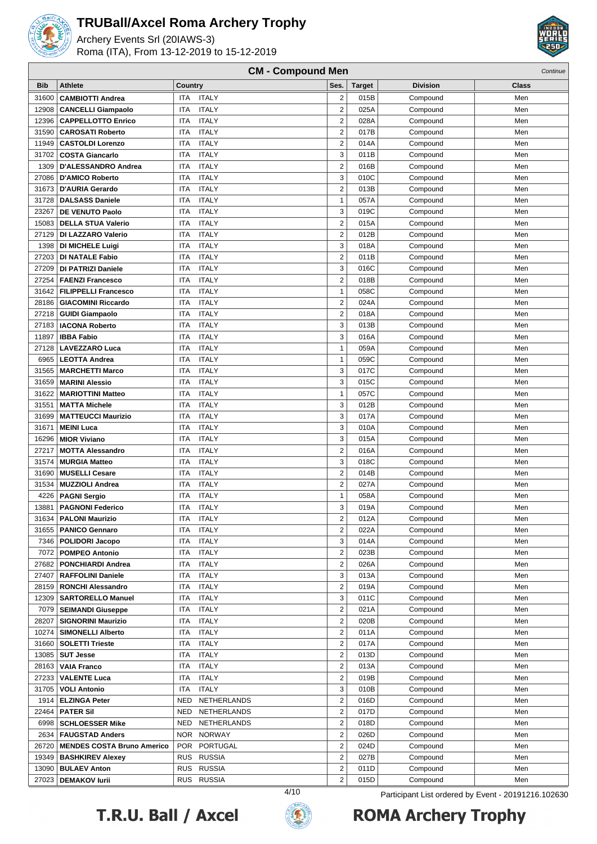

Archery Events Srl (20IAWS-3) Roma (ITA), From 13-12-2019 to 15-12-2019



|               | <b>CM - Compound Men</b><br>Continue             |                |                              |                                  |               |                      |              |  |  |
|---------------|--------------------------------------------------|----------------|------------------------------|----------------------------------|---------------|----------------------|--------------|--|--|
| <b>Bib</b>    | <b>Athlete</b>                                   | <b>Country</b> |                              | Ses.                             | <b>Target</b> | <b>Division</b>      | <b>Class</b> |  |  |
| 31600         | <b>CAMBIOTTI Andrea</b>                          | <b>ITA</b>     | <b>ITALY</b>                 | $\overline{c}$                   | 015B          | Compound             | Men          |  |  |
| 12908         | <b>CANCELLI Giampaolo</b>                        | <b>ITA</b>     | <b>ITALY</b>                 | $\overline{2}$                   | 025A          | Compound             | Men          |  |  |
| 12396         | <b>CAPPELLOTTO Enrico</b>                        | ITA            | <b>ITALY</b>                 | $\overline{2}$                   | 028A          | Compound             | Men          |  |  |
| 31590         | <b>CAROSATI Roberto</b>                          | ITA            | <b>ITALY</b>                 | $\overline{c}$                   | 017B          | Compound             | Men          |  |  |
| 11949         | <b>CASTOLDI Lorenzo</b>                          | <b>ITA</b>     | <b>ITALY</b>                 | $\overline{2}$                   | 014A          | Compound             | Men          |  |  |
| 31702         | <b>COSTA Giancarlo</b>                           | <b>ITA</b>     | <b>ITALY</b>                 | 3                                | 011B          | Compound             | Men          |  |  |
| 1309          | D'ALESSANDRO Andrea                              | ITA            | <b>ITALY</b>                 | $\overline{2}$                   | 016B          | Compound             | Men          |  |  |
| 27086         | <b>D'AMICO Roberto</b>                           | ITA            | <b>ITALY</b>                 | 3                                | 010C          | Compound             | Men          |  |  |
| 31673         | <b>D'AURIA Gerardo</b>                           | <b>ITA</b>     | <b>ITALY</b>                 | $\overline{2}$                   | 013B          | Compound             | Men          |  |  |
| 31728         | <b>DALSASS Daniele</b>                           | <b>ITA</b>     | <b>ITALY</b>                 | $\mathbf{1}$                     | 057A          | Compound             | Men          |  |  |
| 23267         | DE VENUTO Paolo                                  | <b>ITA</b>     | <b>ITALY</b>                 | 3                                | 019C          | Compound             | Men          |  |  |
| 15083         | <b>DELLA STUA Valerio</b>                        | <b>ITA</b>     | <b>ITALY</b>                 | $\overline{c}$                   | 015A          | Compound             | Men          |  |  |
| 27129         | DI LAZZARO Valerio                               | ITA            | <b>ITALY</b>                 | $\mathbf 2$                      | 012B          | Compound             | Men          |  |  |
| 1398          | <b>DI MICHELE Luigi</b>                          | ITA            | <b>ITALY</b>                 | 3                                | 018A          | Compound             | Men          |  |  |
| 27203         | <b>DI NATALE Fabio</b>                           | <b>ITA</b>     | <b>ITALY</b>                 | $\overline{2}$                   | 011B          | Compound             | Men          |  |  |
| 27209         | <b>DI PATRIZI Daniele</b>                        | ITA            | <b>ITALY</b>                 | 3                                | 016C          | Compound             | Men          |  |  |
| 27254         | <b>FAENZI Francesco</b>                          | ITA            | <b>ITALY</b>                 | $\overline{2}$                   | 018B          | Compound             | Men          |  |  |
| 31642         | <b>FILIPPELLI Francesco</b>                      | <b>ITA</b>     | <b>ITALY</b>                 | $\mathbf{1}$                     | 058C          | Compound             | Men          |  |  |
| 28186         | <b>GIACOMINI Riccardo</b>                        | <b>ITA</b>     | <b>ITALY</b>                 | $\overline{2}$                   | 024A          | Compound             | Men          |  |  |
| 27218         | <b>GUIDI Giampaolo</b>                           | <b>ITA</b>     | <b>ITALY</b>                 | $\overline{c}$                   | 018A          | Compound             | Men          |  |  |
| 27183         | <b>IACONA Roberto</b>                            | <b>ITA</b>     | <b>ITALY</b>                 | 3                                | 013B          | Compound             | Men          |  |  |
| 11897         | <b>IBBA Fabio</b>                                | ITA            | <b>ITALY</b>                 | 3                                | 016A          | Compound             | Men          |  |  |
| 27128         | <b>LAVEZZARO Luca</b>                            | ITA            | <b>ITALY</b>                 | $\mathbf{1}$                     | 059A          | Compound             | Men          |  |  |
| 6965          | <b>LEOTTA Andrea</b>                             | ITA            | <b>ITALY</b>                 | $\mathbf{1}$                     | 059C          | Compound             | Men          |  |  |
| 31565         | <b>MARCHETTI Marco</b>                           | ITA            | <b>ITALY</b>                 | 3                                | 017C          | Compound             | Men          |  |  |
| 31659         | <b>MARINI Alessio</b>                            | ITA            | <b>ITALY</b>                 | 3                                | 015C          | Compound             | Men          |  |  |
| 31622         | <b>MARIOTTINI Matteo</b>                         | <b>ITA</b>     | <b>ITALY</b>                 | $\mathbf{1}$                     | 057C          | Compound             | Men          |  |  |
| 31551         | <b>MATTA Michele</b>                             | <b>ITA</b>     | <b>ITALY</b>                 | 3                                | 012B          | Compound             | Men          |  |  |
| 31699         | <b>MATTEUCCI Maurizio</b>                        | <b>ITA</b>     | <b>ITALY</b>                 | 3                                | 017A          | Compound             | Men          |  |  |
| 31671         | <b>MEINI Luca</b>                                | <b>ITA</b>     | <b>ITALY</b>                 | 3                                | 010A          | Compound             | Men          |  |  |
| 16296         | <b>MIOR Viviano</b>                              | <b>ITA</b>     | <b>ITALY</b>                 | 3                                | 015A          | Compound             | Men          |  |  |
| 27217         | <b>MOTTA Alessandro</b>                          | <b>ITA</b>     | <b>ITALY</b>                 | $\overline{2}$                   | 016A          | Compound             | Men          |  |  |
| 31574         | <b>MURGIA Matteo</b>                             | ITA            | <b>ITALY</b>                 | 3                                | 018C          | Compound             | Men          |  |  |
| 31690         | <b>MUSELLI Cesare</b>                            | ITA            | <b>ITALY</b>                 | $\overline{2}$                   | 014B          | Compound             | Men          |  |  |
| 31534         | <b>MUZZIOLI Andrea</b>                           | ITA            | <b>ITALY</b>                 | $\overline{2}$                   | 027A          | Compound             | Men          |  |  |
| 4226          | <b>PAGNI Sergio</b>                              | ITA            | <b>ITALY</b>                 | $\mathbf{1}$                     | 058A          | Compound             | Men          |  |  |
| 13881         | <b>PAGNONI Federico</b>                          | <b>ITA</b>     | <b>ITALY</b>                 | 3                                | 019A          | Compound             | Men          |  |  |
| 31634         | <b>PALONI Maurizio</b>                           | ITA            | ITALY                        | 2                                | 012A          | Compound             | Men          |  |  |
| 31655         | <b>PANICO Gennaro</b>                            | ITA            | <b>ITALY</b>                 | $\overline{c}$                   | 022A          | Compound             | Men          |  |  |
| 7346          | <b>POLIDORI Jacopo</b>                           | ITA            | <b>ITALY</b>                 | 3                                | 014A          | Compound             | Men          |  |  |
| 7072          | <b>POMPEO Antonio</b>                            | ITA            | <b>ITALY</b>                 | $\overline{c}$                   | 023B          | Compound             | Men          |  |  |
| 27682         | <b>PONCHIARDI Andrea</b>                         | ITA            | <b>ITALY</b>                 | $\overline{2}$                   | 026A          | Compound             | Men          |  |  |
| 27407         | <b>RAFFOLINI Daniele</b>                         | ITA            | <b>ITALY</b>                 | 3                                | 013A          | Compound             | Men          |  |  |
| 28159         | <b>RONCHI Alessandro</b>                         | ITA            | <b>ITALY</b>                 | $\overline{2}$                   | 019A          | Compound             | Men          |  |  |
| 12309         | <b>SARTORELLO Manuel</b>                         | ITA            | <b>ITALY</b>                 | 3                                | 011C          | Compound             | Men          |  |  |
| 7079          | <b>SEIMANDI Giuseppe</b>                         | ITA            | <b>ITALY</b>                 | $\overline{c}$                   | 021A          | Compound             | Men          |  |  |
| 28207         | <b>SIGNORINI Maurizio</b>                        | ITA            | <b>ITALY</b>                 | $\overline{c}$                   | 020B          | Compound             | Men          |  |  |
| 10274         | <b>SIMONELLI Alberto</b>                         | ITA            | <b>ITALY</b>                 | $\overline{2}$                   | 011A          | Compound             | Men          |  |  |
| 31660         | <b>SOLETTI Trieste</b>                           | ITA            | <b>ITALY</b>                 | $\overline{c}$                   | 017A          | Compound             | Men          |  |  |
| 13085         | <b>SUT Jesse</b>                                 | ITA            | <b>ITALY</b>                 | $\overline{c}$                   | 013D          | Compound             | Men          |  |  |
| 28163         | <b>VAIA Franco</b>                               | ITA            | <b>ITALY</b>                 | $\overline{2}$                   | 013A          | Compound             | Men          |  |  |
| 27233         | <b>VALENTE Luca</b>                              | ITA            | <b>ITALY</b>                 | $\overline{c}$                   | 019B          | Compound             | Men          |  |  |
| 31705         | <b>VOLI Antonio</b>                              | ITA            | <b>ITALY</b>                 | 3                                | 010B          | Compound             | Men          |  |  |
| 1914          | <b>ELZINGA Peter</b>                             | NED            | NETHERLANDS                  | $\overline{c}$                   | 016D          | Compound             | Men          |  |  |
| 22464         | <b>PATER Sil</b>                                 | NED            | NETHERLANDS                  | $\overline{c}$                   | 017D          | Compound             | Men          |  |  |
| 6998          | <b>SCHLOESSER Mike</b><br><b>FAUGSTAD Anders</b> | NED            | NETHERLANDS<br><b>NORWAY</b> | $\overline{c}$<br>$\overline{2}$ | 018D<br>026D  | Compound<br>Compound | Men<br>Men   |  |  |
| 2634<br>26720 | <b>MENDES COSTA Bruno Americo</b>                | NOR<br>POR     | PORTUGAL                     | $\overline{c}$                   | 024D          | Compound             | Men          |  |  |
| 19349         |                                                  | <b>RUS</b>     | <b>RUSSIA</b>                | $\overline{c}$                   | 027B          | Compound             | Men          |  |  |
| 13090         | <b>BASHKIREV Alexey</b><br><b>BULAEV Anton</b>   |                | RUS RUSSIA                   | $\mathbf{2}$                     | 011D          | Compound             | Men          |  |  |
| 27023         | <b>DEMAKOV lurii</b>                             |                | RUS RUSSIA                   | $\overline{c}$                   | 015D          | Compound             | Men          |  |  |
|               |                                                  |                |                              |                                  |               |                      |              |  |  |





4/10 Participant List ordered by Event - 20191216.102630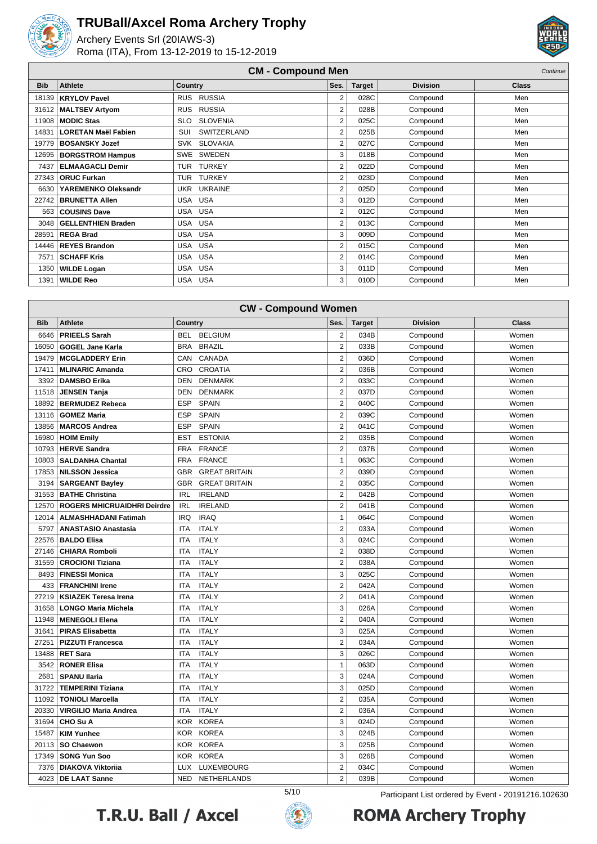

Archery Events Srl (20IAWS-3) Roma (ITA), From 13-12-2019 to 15-12-2019



#### **CM - Compound Men** Continue

| <b>Bib</b> | <b>Athlete</b>             | Country                     | Ses. | <b>Target</b> | <b>Division</b> | <b>Class</b> |  |  |  |  |
|------------|----------------------------|-----------------------------|------|---------------|-----------------|--------------|--|--|--|--|
| 18139      | <b>KRYLOV Pavel</b>        | RUS RUSSIA                  | 2    | 028C          | Compound        | Men          |  |  |  |  |
|            | 31612   MALTSEV Artyom     | RUS RUSSIA                  | 2    | 028B          | Compound        | Men          |  |  |  |  |
| 11908      | <b>MODIC Stas</b>          | <b>SLOVENIA</b><br>SLO      | 2    | 025C          | Compound        | Men          |  |  |  |  |
| 14831      | <b>LORETAN Maël Fabien</b> | SWITZERLAND<br>SUI          | 2    | 025B          | Compound        | Men          |  |  |  |  |
| 19779      | <b>BOSANSKY Jozef</b>      | SVK SLOVAKIA                | 2    | 027C          | Compound        | Men          |  |  |  |  |
| 12695      | <b>BORGSTROM Hampus</b>    | SWE SWEDEN                  | 3    | 018B          | Compound        | Men          |  |  |  |  |
| 7437       | <b>ELMAAGACLI Demir</b>    | <b>TURKEY</b><br><b>TUR</b> | 2    | 022D          | Compound        | Men          |  |  |  |  |
| 27343      | <b>ORUC Furkan</b>         | <b>TURKEY</b><br><b>TUR</b> | 2    | 023D          | Compound        | Men          |  |  |  |  |
| 6630       | YAREMENKO Oleksandr        | <b>UKRAINE</b><br>UKR       | 2    | 025D          | Compound        | Men          |  |  |  |  |
| 22742      | <b>BRUNETTA Allen</b>      | USA USA                     | 3    | 012D          | Compound        | Men          |  |  |  |  |
| 563        | <b>COUSINS Dave</b>        | USA USA                     | 2    | 012C          | Compound        | Men          |  |  |  |  |
| 3048       | <b>GELLENTHIEN Braden</b>  | USA USA                     | 2    | 013C          | Compound        | Men          |  |  |  |  |
| 28591      | <b>REGA Brad</b>           | USA USA                     | 3    | 009D          | Compound        | Men          |  |  |  |  |
| 14446      | <b>REYES Brandon</b>       | USA<br><b>USA</b>           | 2    | 015C          | Compound        | Men          |  |  |  |  |
| 7571       | <b>SCHAFF Kris</b>         | USA<br><b>USA</b>           | 2    | 014C          | Compound        | Men          |  |  |  |  |
| 1350       | <b>WILDE Logan</b>         | USA USA                     | 3    | 011D          | Compound        | Men          |  |  |  |  |
| 1391       | <b>WILDE Reo</b>           | USA USA                     | 3    | 010D          | Compound        | Men          |  |  |  |  |

|            | <b>CW - Compound Women</b>         |                                    |                |               |                 |              |  |  |  |
|------------|------------------------------------|------------------------------------|----------------|---------------|-----------------|--------------|--|--|--|
| <b>Bib</b> | <b>Athlete</b>                     | Country                            | Ses.           | <b>Target</b> | <b>Division</b> | <b>Class</b> |  |  |  |
| 6646       | <b>PRIEELS Sarah</b>               | <b>BEL</b><br><b>BELGIUM</b>       | $\overline{2}$ | 034B          | Compound        | Women        |  |  |  |
| 16050      | <b>GOGEL Jane Karla</b>            | <b>BRA</b><br><b>BRAZIL</b>        | $\sqrt{2}$     | 033B          | Compound        | Women        |  |  |  |
| 19479      | <b>MCGLADDERY Erin</b>             | CAN<br>CANADA                      | $\overline{2}$ | 036D          | Compound        | Women        |  |  |  |
| 17411      | <b>MLINARIC Amanda</b>             | CRO<br><b>CROATIA</b>              | $\overline{2}$ | 036B          | Compound        | Women        |  |  |  |
| 3392       | <b>DAMSBO Erika</b>                | <b>DEN</b><br><b>DENMARK</b>       | $\overline{2}$ | 033C          | Compound        | Women        |  |  |  |
| 11518      | <b>JENSEN Tanja</b>                | <b>DEN</b><br><b>DENMARK</b>       | $\overline{2}$ | 037D          | Compound        | Women        |  |  |  |
| 18892      | <b>BERMUDEZ Rebeca</b>             | <b>ESP</b><br><b>SPAIN</b>         | $\overline{c}$ | 040C          | Compound        | Women        |  |  |  |
| 13116      | <b>GOMEZ Maria</b>                 | <b>ESP</b><br><b>SPAIN</b>         | $\overline{2}$ | 039C          | Compound        | Women        |  |  |  |
| 13856      | <b>MARCOS Andrea</b>               | <b>ESP</b><br><b>SPAIN</b>         | $\overline{2}$ | 041C          | Compound        | Women        |  |  |  |
| 16980      | <b>HOIM Emily</b>                  | <b>EST</b><br><b>ESTONIA</b>       | $\overline{2}$ | 035B          | Compound        | Women        |  |  |  |
| 10793      | <b>HERVE Sandra</b>                | <b>FRA</b><br><b>FRANCE</b>        | $\overline{2}$ | 037B          | Compound        | Women        |  |  |  |
| 10803      | <b>SALDANHA Chantal</b>            | <b>FRA</b><br><b>FRANCE</b>        | $\mathbf{1}$   | 063C          | Compound        | Women        |  |  |  |
| 17853      | <b>NILSSON Jessica</b>             | <b>GBR</b><br><b>GREAT BRITAIN</b> | $\overline{2}$ | 039D          | Compound        | Women        |  |  |  |
| 3194       | <b>SARGEANT Bayley</b>             | <b>GBR</b><br><b>GREAT BRITAIN</b> | $\overline{2}$ | 035C          | Compound        | Women        |  |  |  |
| 31553      | <b>BATHE Christina</b>             | <b>IRL</b><br><b>IRELAND</b>       | $\overline{2}$ | 042B          | Compound        | Women        |  |  |  |
| 12570      | <b>ROGERS MHICRUAIDHRI Deirdre</b> | <b>IRL</b><br><b>IRELAND</b>       | $\overline{2}$ | 041B          | Compound        | Women        |  |  |  |
| 12014      | <b>ALMASHHADANI Fatimah</b>        | <b>IRQ</b><br><b>IRAQ</b>          | $\mathbf{1}$   | 064C          | Compound        | Women        |  |  |  |
| 5797       | <b>ANASTASIO Anastasia</b>         | <b>ITALY</b><br><b>ITA</b>         | $\overline{2}$ | 033A          | Compound        | Women        |  |  |  |
| 22576      | <b>BALDO Elisa</b>                 | <b>ITALY</b><br><b>ITA</b>         | 3              | 024C          | Compound        | Women        |  |  |  |
| 27146      | <b>CHIARA Romboli</b>              | <b>ITA</b><br><b>ITALY</b>         | $\overline{2}$ | 038D          | Compound        | Women        |  |  |  |
| 31559      | <b>CROCIONI Tiziana</b>            | <b>ITALY</b><br><b>ITA</b>         | $\overline{2}$ | 038A          | Compound        | Women        |  |  |  |
| 8493       | <b>FINESSI Monica</b>              | <b>ITA</b><br><b>ITALY</b>         | 3              | 025C          | Compound        | Women        |  |  |  |
| 433        | <b>FRANCHINI Irene</b>             | <b>ITALY</b><br><b>ITA</b>         | $\overline{2}$ | 042A          | Compound        | Women        |  |  |  |
| 27219      | <b>KSIAZEK Teresa Irena</b>        | <b>ITALY</b><br><b>ITA</b>         | $\overline{2}$ | 041A          | Compound        | Women        |  |  |  |
| 31658      | <b>LONGO Maria Michela</b>         | <b>ITALY</b><br><b>ITA</b>         | 3              | 026A          | Compound        | Women        |  |  |  |
| 11948      | <b>MENEGOLI Elena</b>              | <b>ITA</b><br><b>ITALY</b>         | $\overline{2}$ | 040A          | Compound        | Women        |  |  |  |
| 31641      | <b>PIRAS Elisabetta</b>            | <b>ITALY</b><br><b>ITA</b>         | 3              | 025A          | Compound        | Women        |  |  |  |
| 27251      | <b>PIZZUTI Francesca</b>           | <b>ITA</b><br><b>ITALY</b>         | $\overline{2}$ | 034A          | Compound        | Women        |  |  |  |
| 13488      | <b>RET Sara</b>                    | <b>ITALY</b><br><b>ITA</b>         | 3              | 026C          | Compound        | Women        |  |  |  |
| 3542       | <b>RONER Elisa</b>                 | <b>ITA</b><br><b>ITALY</b>         | $\mathbf{1}$   | 063D          | Compound        | Women        |  |  |  |
| 2681       | <b>SPANU Ilaria</b>                | <b>ITA</b><br><b>ITALY</b>         | 3              | 024A          | Compound        | Women        |  |  |  |
| 31722      | <b>TEMPERINI Tiziana</b>           | <b>ITALY</b><br><b>ITA</b>         | 3              | 025D          | Compound        | Women        |  |  |  |
| 11092      | <b>TONIOLI Marcella</b>            | <b>ITALY</b><br><b>ITA</b>         | $\overline{2}$ | 035A          | Compound        | Women        |  |  |  |
| 20330      | <b>VIRGILIO Maria Andrea</b>       | <b>ITALY</b><br><b>ITA</b>         | $\overline{2}$ | 036A          | Compound        | Women        |  |  |  |
| 31694      | <b>CHO Su A</b>                    | <b>KOREA</b><br><b>KOR</b>         | 3              | 024D          | Compound        | Women        |  |  |  |
| 15487      | <b>KIM Yunhee</b>                  | <b>KOREA</b><br><b>KOR</b>         | 3              | 024B          | Compound        | Women        |  |  |  |
| 20113      | <b>SO Chaewon</b>                  | <b>KOREA</b><br><b>KOR</b>         | 3              | 025B          | Compound        | Women        |  |  |  |
| 17349      | <b>SONG Yun Soo</b>                | <b>KOR</b><br><b>KOREA</b>         | 3              | 026B          | Compound        | Women        |  |  |  |
| 7376       | <b>DIAKOVA Viktorija</b>           | LUXEMBOURG<br><b>LUX</b>           | $\overline{2}$ | 034C          | Compound        | Women        |  |  |  |
| 4023       | <b>DE LAAT Sanne</b>               | <b>NED</b><br><b>NETHERLANDS</b>   | $\overline{2}$ | 039B          | Compound        | Women        |  |  |  |





# 5/10 Participant List ordered by Event - 20191216.102630**ROMA Archery Trophy**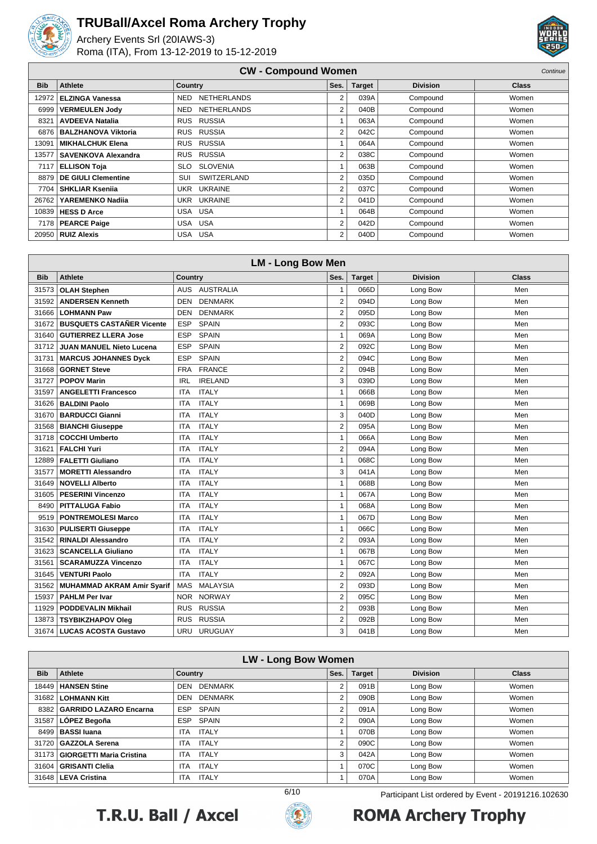

Archery Events Srl (20IAWS-3) Roma (ITA), From 13-12-2019 to 15-12-2019



#### **CW - Compound Women** Continues and Continues Continues and Continues Continues and Continues Continues Continues

| <b>Bib</b> | Athlete                    | Country                    | Ses. | <b>Target</b> | <b>Division</b> | <b>Class</b> |  |  |  |  |
|------------|----------------------------|----------------------------|------|---------------|-----------------|--------------|--|--|--|--|
| 12972      | <b>ELZINGA Vanessa</b>     | <b>NETHERLANDS</b><br>NED. | 2    | 039A          | Compound        | Women        |  |  |  |  |
| 6999       | <b>VERMEULEN Jody</b>      | <b>NETHERLANDS</b><br>NED. | 2    | 040B          | Compound        | Women        |  |  |  |  |
| 8321       | <b>AVDEEVA Natalia</b>     | RUS RUSSIA                 |      | 063A          | Compound        | Women        |  |  |  |  |
| 6876       | <b>BALZHANOVA Viktoria</b> | RUS RUSSIA                 | 2    | 042C          | Compound        | Women        |  |  |  |  |
| 13091      | <b>MIKHALCHUK Elena</b>    | RUS RUSSIA                 |      | 064A          | Compound        | Women        |  |  |  |  |
| 13577      | <b>SAVENKOVA Alexandra</b> | RUS RUSSIA                 | 2    | 038C          | Compound        | Women        |  |  |  |  |
| 7117 l     | <b>ELLISON Toja</b>        | SLO SLOVENIA               |      | 063B          | Compound        | Women        |  |  |  |  |
| 8879       | <b>DE GIULI Clementine</b> | SWITZERLAND<br>SUI         | 2    | 035D          | Compound        | Women        |  |  |  |  |
| 7704 l     | <b>SHKLIAR Ksenija</b>     | <b>UKRAINE</b><br>UKR      | 2    | 037C          | Compound        | Women        |  |  |  |  |
| 26762      | YAREMENKO Nadija           | UKR UKRAINE                | 2    | 041D          | Compound        | Women        |  |  |  |  |
| 10839      | <b>HESS D Arce</b>         | USA USA                    |      | 064B          | Compound        | Women        |  |  |  |  |
| 7178 l     | <b>PEARCE Paige</b>        | USA USA                    | 2    | 042D          | Compound        | Women        |  |  |  |  |
|            | $20950$ RUIZ Alexis        | USA USA                    | 2    | 040D          | Compound        | Women        |  |  |  |  |

|            | <b>LM - Long Bow Men</b>          |                                |                |               |                 |       |  |  |  |  |
|------------|-----------------------------------|--------------------------------|----------------|---------------|-----------------|-------|--|--|--|--|
| <b>Bib</b> | <b>Athlete</b>                    | Country                        | Ses.           | <b>Target</b> | <b>Division</b> | Class |  |  |  |  |
| 31573      | <b>OLAH Stephen</b>               | <b>AUSTRALIA</b><br><b>AUS</b> | $\mathbf{1}$   | 066D          | Long Bow        | Men   |  |  |  |  |
| 31592      | <b>ANDERSEN Kenneth</b>           | <b>DENMARK</b><br><b>DEN</b>   | $\overline{2}$ | 094D          | Long Bow        | Men   |  |  |  |  |
| 31666      | <b>LOHMANN Paw</b>                | <b>DEN</b><br><b>DENMARK</b>   | $\overline{2}$ | 095D          | Long Bow        | Men   |  |  |  |  |
| 31672      | <b>BUSQUETS CASTAÑER Vicente</b>  | <b>ESP</b><br><b>SPAIN</b>     | $\overline{2}$ | 093C          | Long Bow        | Men   |  |  |  |  |
| 31640      | <b>GUTIERREZ LLERA Jose</b>       | <b>ESP</b><br><b>SPAIN</b>     | $\mathbf{1}$   | 069A          | Long Bow        | Men   |  |  |  |  |
| 31712      | <b>JUAN MANUEL Nieto Lucena</b>   | <b>ESP</b><br><b>SPAIN</b>     | $\overline{2}$ | 092C          | Long Bow        | Men   |  |  |  |  |
| 31731      | <b>MARCUS JOHANNES Dyck</b>       | <b>ESP</b><br><b>SPAIN</b>     | $\overline{2}$ | 094C          | Long Bow        | Men   |  |  |  |  |
| 31668      | <b>GORNET Steve</b>               | <b>FRA</b><br><b>FRANCE</b>    | $\overline{2}$ | 094B          | Long Bow        | Men   |  |  |  |  |
| 31727      | <b>POPOV Marin</b>                | <b>IRL</b><br><b>IRELAND</b>   | 3              | 039D          | Long Bow        | Men   |  |  |  |  |
| 31597      | <b>ANGELETTI Francesco</b>        | <b>ITA</b><br><b>ITALY</b>     | $\mathbf{1}$   | 066B          | Long Bow        | Men   |  |  |  |  |
| 31626      | <b>BALDINI Paolo</b>              | <b>ITA</b><br><b>ITALY</b>     | $\mathbf{1}$   | 069B          | Long Bow        | Men   |  |  |  |  |
| 31670      | <b>BARDUCCI Gianni</b>            | <b>ITALY</b><br><b>ITA</b>     | 3              | 040D          | Long Bow        | Men   |  |  |  |  |
| 31568      | <b>BIANCHI Giuseppe</b>           | <b>ITALY</b><br><b>ITA</b>     | $\overline{2}$ | 095A          | Long Bow        | Men   |  |  |  |  |
| 31718      | <b>COCCHI Umberto</b>             | <b>ITALY</b><br><b>ITA</b>     | $\mathbf{1}$   | 066A          | Long Bow        | Men   |  |  |  |  |
| 31621      | <b>FALCHI Yuri</b>                | <b>ITALY</b><br><b>ITA</b>     | $\overline{2}$ | 094A          | Long Bow        | Men   |  |  |  |  |
| 12889      | <b>FALETTI Giuliano</b>           | <b>ITALY</b><br><b>ITA</b>     | 1              | 068C          | Long Bow        | Men   |  |  |  |  |
| 31577      | <b>MORETTI Alessandro</b>         | <b>ITALY</b><br><b>ITA</b>     | 3              | 041A          | Long Bow        | Men   |  |  |  |  |
| 31649      | <b>NOVELLI Alberto</b>            | <b>ITALY</b><br><b>ITA</b>     | $\mathbf{1}$   | 068B          | Long Bow        | Men   |  |  |  |  |
| 31605      | <b>PESERINI Vincenzo</b>          | <b>ITALY</b><br><b>ITA</b>     | $\mathbf{1}$   | 067A          | Long Bow        | Men   |  |  |  |  |
| 8490       | <b>PITTALUGA Fabio</b>            | <b>ITALY</b><br><b>ITA</b>     | 1              | 068A          | Long Bow        | Men   |  |  |  |  |
| 9519       | <b>PONTREMOLESI Marco</b>         | <b>ITALY</b><br><b>ITA</b>     | $\mathbf{1}$   | 067D          | Long Bow        | Men   |  |  |  |  |
| 31630      | <b>PULISERTI Giuseppe</b>         | <b>ITALY</b><br><b>ITA</b>     | $\mathbf{1}$   | 066C          | Long Bow        | Men   |  |  |  |  |
| 31542      | <b>RINALDI Alessandro</b>         | <b>ITALY</b><br><b>ITA</b>     | $\overline{2}$ | 093A          | Long Bow        | Men   |  |  |  |  |
| 31623      | <b>SCANCELLA Giuliano</b>         | <b>ITALY</b><br><b>ITA</b>     | 1              | 067B          | Long Bow        | Men   |  |  |  |  |
| 31561      | <b>SCARAMUZZA Vincenzo</b>        | <b>ITALY</b><br><b>ITA</b>     | $\mathbf{1}$   | 067C          | Long Bow        | Men   |  |  |  |  |
| 31645      | <b>VENTURI Paolo</b>              | <b>ITALY</b><br><b>ITA</b>     | $\overline{2}$ | 092A          | Long Bow        | Men   |  |  |  |  |
| 31562      | <b>MUHAMMAD AKRAM Amir Syarif</b> | <b>MALAYSIA</b><br>MAS         | $\overline{2}$ | 093D          | Long Bow        | Men   |  |  |  |  |
| 15937      | <b>PAHLM Per Ivar</b>             | <b>NORWAY</b><br><b>NOR</b>    | $\overline{2}$ | 095C          | Long Bow        | Men   |  |  |  |  |
| 11929      | <b>PODDEVALIN Mikhail</b>         | <b>RUSSIA</b><br><b>RUS</b>    | $\overline{2}$ | 093B          | Long Bow        | Men   |  |  |  |  |
| 13873      | <b>TSYBIKZHAPOV Oleg</b>          | <b>RUSSIA</b><br><b>RUS</b>    | $\overline{2}$ | 092B          | Long Bow        | Men   |  |  |  |  |
| 31674      | <b>LUCAS ACOSTA Gustavo</b>       | <b>URU</b><br><b>URUGUAY</b>   | 3              | 041B          | Long Bow        | Men   |  |  |  |  |

| <b>LW - Long Bow Women</b> |                                |                              |      |               |                 |              |  |
|----------------------------|--------------------------------|------------------------------|------|---------------|-----------------|--------------|--|
| <b>Bib</b>                 | Athlete                        | Country                      | Ses. | <b>Target</b> | <b>Division</b> | <b>Class</b> |  |
| 18449                      | <b>HANSEN Stine</b>            | <b>DENMARK</b><br>DEN        | 2    | 091B          | Long Bow        | Women        |  |
| 31682                      | <b>LOHMANN Kitt</b>            | <b>DENMARK</b><br><b>DEN</b> | 2    | 090B          | Long Bow        | Women        |  |
| 8382                       | <b>GARRIDO LAZARO Encarna</b>  | <b>SPAIN</b><br><b>ESP</b>   | 2    | 091A          | Long Bow        | Women        |  |
| 31587                      | LÓPEZ Begoña                   | <b>SPAIN</b><br><b>ESP</b>   | 2    | 090A          | Long Bow        | Women        |  |
| 8499                       | BASSI luana                    | <b>ITALY</b><br><b>ITA</b>   |      | 070B          | Long Bow        | Women        |  |
|                            | 31720 GAZZOLA Serena           | <b>ITALY</b><br><b>ITA</b>   | 2    | 090C          | Long Bow        | Women        |  |
|                            | 31173 GIORGETTI Maria Cristina | <b>ITALY</b><br><b>ITA</b>   | 3    | 042A          | Long Bow        | Women        |  |
| 31604                      | <b>GRISANTI Clelia</b>         | <b>ITALY</b><br><b>ITA</b>   |      | 070C          | Long Bow        | Women        |  |
|                            | 31648   LEVA Cristina          | <b>ITALY</b><br><b>ITA</b>   |      | 070A          | Long Bow        | Women        |  |





6/10 Participant List ordered by Event - 20191216.102630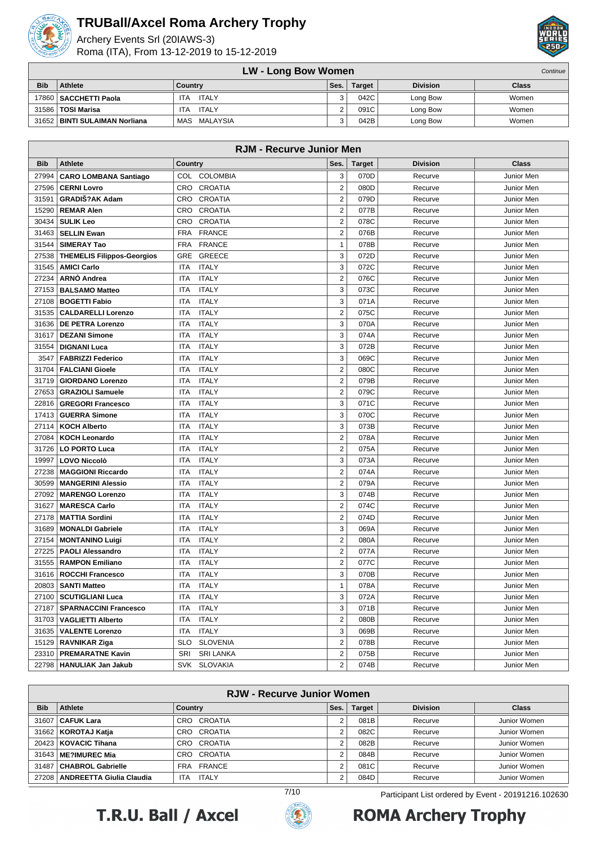

Archery Events Srl (20IAWS-3) Roma (ITA), From 13-12-2019 to 15-12-2019



#### **LW - Long Bow Women**

|            | $\mathbf{L}_{\mathbf{V}}$ $\mathbf{L}_{\mathbf{V}}$ $\mathbf{L}_{\mathbf{V}}$ $\mathbf{L}_{\mathbf{V}}$ $\mathbf{L}_{\mathbf{V}}$ $\mathbf{L}_{\mathbf{V}}$ $\mathbf{L}_{\mathbf{V}}$ $\mathbf{L}_{\mathbf{V}}$<br>----------- |                            |      |               |                 |              |  |
|------------|--------------------------------------------------------------------------------------------------------------------------------------------------------------------------------------------------------------------------------|----------------------------|------|---------------|-----------------|--------------|--|
| <b>Bib</b> | Athlete                                                                                                                                                                                                                        | Country                    | Ses. | <b>Target</b> | <b>Division</b> | <b>Class</b> |  |
|            | 17860   <b>SACCHETTI Paola</b>                                                                                                                                                                                                 | <b>ITALY</b><br><b>ITA</b> |      | 042C          | Long Bow        | Women        |  |
|            | 31586   TOSI Marisa                                                                                                                                                                                                            | ITALY<br><b>ITA</b>        | -    | 091C          | Long Bow        | Women        |  |
|            | 31652   BINTI SULAIMAN Norliana                                                                                                                                                                                                | MAS MALAYSIA               |      | 042B          | Long Bow        | Women        |  |

|            | <b>RJM - Recurve Junior Men</b>   |                               |                  |               |                 |            |  |  |
|------------|-----------------------------------|-------------------------------|------------------|---------------|-----------------|------------|--|--|
| <b>Bib</b> | <b>Athlete</b>                    | Country                       | Ses.             | <b>Target</b> | <b>Division</b> | Class      |  |  |
| 27994      | <b>CARO LOMBANA Santiago</b>      | COL COLOMBIA                  | 3                | 070D          | Recurve         | Junior Men |  |  |
| 27596      | <b>CERNI Lovro</b>                | <b>CROATIA</b><br><b>CRO</b>  | $\overline{c}$   | 080D          | Recurve         | Junior Men |  |  |
| 31591      | <b>GRADIŠ?AK Adam</b>             | CRO<br><b>CROATIA</b>         | $\overline{2}$   | 079D          | Recurve         | Junior Men |  |  |
| 15290      | <b>REMAR Alen</b>                 | <b>CROATIA</b><br>CRO         | $\overline{2}$   | 077B          | Recurve         | Junior Men |  |  |
| 30434      | <b>SULIK Leo</b>                  | <b>CROATIA</b><br>CRO         | $\overline{2}$   | 078C          | Recurve         | Junior Men |  |  |
| 31463      | <b>SELLIN Ewan</b>                | <b>FRA</b><br><b>FRANCE</b>   | $\overline{2}$   | 076B          | Recurve         | Junior Men |  |  |
| 31544      | <b>SIMERAY Tao</b>                | <b>FRANCE</b><br><b>FRA</b>   | $\mathbf{1}$     | 078B          | Recurve         | Junior Men |  |  |
| 27538      | <b>THEMELIS Filippos-Georgios</b> | <b>GREECE</b><br>GRE          | 3                | 072D          | Recurve         | Junior Men |  |  |
| 31545      | <b>AMICI Carlo</b>                | <b>ITALY</b><br>ITA           | 3                | 072C          | Recurve         | Junior Men |  |  |
| 27234      | ARNO Andrea                       | <b>ITALY</b><br>ITA           | $\overline{2}$   | 076C          | Recurve         | Junior Men |  |  |
| 27153      | <b>BALSAMO Matteo</b>             | <b>ITALY</b><br>ITA           | 3                | 073C          | Recurve         | Junior Men |  |  |
| 27108      | <b>BOGETTI Fabio</b>              | <b>ITALY</b><br>ITA           | 3                | 071A          | Recurve         | Junior Men |  |  |
| 31535      | <b>CALDARELLI Lorenzo</b>         | ITA<br><b>ITALY</b>           | $\overline{2}$   | 075C          | Recurve         | Junior Men |  |  |
| 31636      | <b>DE PETRA Lorenzo</b>           | <b>ITALY</b><br><b>ITA</b>    | 3                | 070A          | Recurve         | Junior Men |  |  |
| 31617      | <b>DEZANI Simone</b>              | <b>ITALY</b><br>ITA           | 3                | 074A          | Recurve         | Junior Men |  |  |
| 31554      | <b>DIGNANI Luca</b>               | <b>ITALY</b><br>ITA           | 3                | 072B          | Recurve         | Junior Men |  |  |
| 3547       | <b>FABRIZZI Federico</b>          | <b>ITALY</b><br>ITA           | 3                | 069C          | Recurve         | Junior Men |  |  |
| 31704      | <b>FALCIANI Gioele</b>            | <b>ITALY</b><br>ITA           | $\overline{2}$   | 080C          | Recurve         | Junior Men |  |  |
| 31719      | <b>GIORDANO Lorenzo</b>           | <b>ITALY</b><br><b>ITA</b>    | $\overline{2}$   | 079B          | Recurve         | Junior Men |  |  |
| 27653      | <b>GRAZIOLI Samuele</b>           | <b>ITALY</b><br><b>ITA</b>    | $\overline{2}$   | 079C          | Recurve         | Junior Men |  |  |
| 22816      | <b>GREGORI Francesco</b>          | <b>ITALY</b><br>ITA           | 3                | 071C          | Recurve         | Junior Men |  |  |
| 17413      | <b>GUERRA Simone</b>              | ITA<br><b>ITALY</b>           | 3                | 070C          | Recurve         | Junior Men |  |  |
| 27114      | <b>KOCH Alberto</b>               | <b>ITALY</b><br>ITA           | 3                | 073B          | Recurve         | Junior Men |  |  |
| 27084      | <b>KOCH Leonardo</b>              | <b>ITALY</b><br>ITA           | $\overline{2}$   | 078A          | Recurve         | Junior Men |  |  |
| 31726      | <b>LO PORTO Luca</b>              | <b>ITALY</b><br>ITA           | $\mathbf 2$      | 075A          | Recurve         | Junior Men |  |  |
| 19997      | <b>LOVO Niccolò</b>               | <b>ITALY</b><br>ITA           | 3                | 073A          | Recurve         | Junior Men |  |  |
| 27238      | <b>MAGGIONI Riccardo</b>          | <b>ITALY</b><br>ITA           | $\overline{2}$   | 074A          | Recurve         | Junior Men |  |  |
| 30599      | <b>MANGERINI Alessio</b>          | <b>ITALY</b><br><b>ITA</b>    | $\overline{2}$   | 079A          | Recurve         | Junior Men |  |  |
| 27092      | <b>MARENGO Lorenzo</b>            | <b>ITALY</b><br><b>ITA</b>    | 3                | 074B          | Recurve         | Junior Men |  |  |
| 31627      | <b>MARESCA Carlo</b>              | <b>ITALY</b><br><b>ITA</b>    | $\overline{2}$   | 074C          | Recurve         | Junior Men |  |  |
| 27178      | <b>MATTIA Sordini</b>             | <b>ITALY</b><br>ITA           | $\overline{2}$   | 074D          | Recurve         | Junior Men |  |  |
| 31689      | <b>MONALDI Gabriele</b>           | <b>ITALY</b><br>ITA           | 3                | 069A          | Recurve         | Junior Men |  |  |
| 27154      | <b>MONTANINO Luigi</b>            | <b>ITALY</b><br>ITA           | $\overline{2}$   | 080A          | Recurve         | Junior Men |  |  |
| 27225      | <b>PAOLI Alessandro</b>           | <b>ITALY</b><br>ITA           | $\boldsymbol{2}$ | 077A          | Recurve         | Junior Men |  |  |
| 31555      | <b>RAMPON Emiliano</b>            | <b>ITALY</b><br>ITA           | $\overline{2}$   | 077C          | Recurve         | Junior Men |  |  |
| 31616      | <b>ROCCHI Francesco</b>           | <b>ITALY</b><br>ITA           | 3                | 070B          | Recurve         | Junior Men |  |  |
| 20803      | <b>SANTI Matteo</b>               | <b>ITALY</b><br>ITA           | $\mathbf{1}$     | 078A          | Recurve         | Junior Men |  |  |
|            | 27100   SCUTIGLIANI Luca          | ITALY<br>ITA                  | 3                | 072A          | Recurve         | Junior Men |  |  |
|            | 27187   SPARNACCINI Francesco     | ITA<br><b>ITALY</b>           | 3                | 071B          | Recurve         | Junior Men |  |  |
|            | 31703   VAGLIETTI Alberto         | <b>ITALY</b><br>ITA           | $\overline{2}$   | 080B          | Recurve         | Junior Men |  |  |
|            | 31635   VALENTE Lorenzo           | <b>ITALY</b><br>ITA           | 3                | 069B          | Recurve         | Junior Men |  |  |
|            | 15129   RAVNIKAR Ziga             | <b>SLO</b><br><b>SLOVENIA</b> | $\overline{2}$   | 078B          | Recurve         | Junior Men |  |  |
| 23310      | <b>PREMARATNE Kavin</b>           | SRI<br><b>SRI LANKA</b>       | $\overline{2}$   | 075B          | Recurve         | Junior Men |  |  |
| 22798      | <b>HANULIAK Jan Jakub</b>         | SVK<br><b>SLOVAKIA</b>        | $\overline{2}$   | 074B          | Recurve         | Junior Men |  |  |

| <b>RJW - Recurve Junior Women</b> |                                 |                            |        |               |                 |              |
|-----------------------------------|---------------------------------|----------------------------|--------|---------------|-----------------|--------------|
| <b>Bib</b>                        | Athlete                         | Country                    | Ses.   | <b>Target</b> | <b>Division</b> | <b>Class</b> |
| 31607                             | <b>CAFUK Lara</b>               | CROATIA<br>CRO             |        | 081B          | Recurve         | Junior Women |
| 31662                             | KOROTAJ Katja                   | CROATIA<br>CRO             |        | 082C          | Recurve         | Junior Women |
|                                   | 20423   KOVACIC Tihana          | CROATIA<br>CRO             | $\sim$ | 082B          | Recurve         | Junior Women |
|                                   | 31643   ME?IMUREC Mia           | CRO CROATIA                |        | 084B          | Recurve         | Junior Women |
| 31487                             | <b>CHABROL Gabrielle</b>        | FRA FRANCE                 |        | 081C          | Recurve         | Junior Women |
| 27208                             | <b>ANDREETTA Giulia Claudia</b> | <b>ITALY</b><br><b>ITA</b> | ◠      | 084D          | Recurve         | Junior Women |





7/10 Participant List ordered by Event - 20191216.102630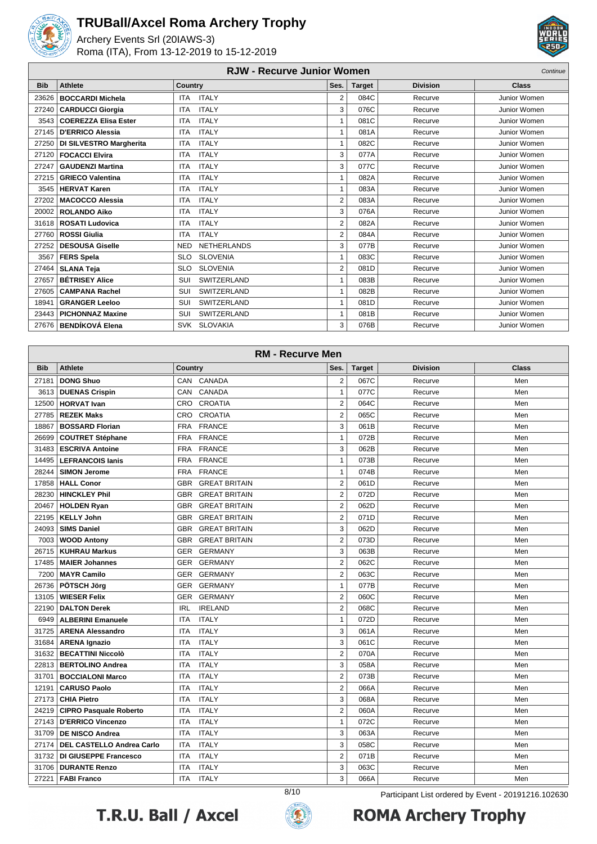

Archery Events Srl (20IAWS-3) Roma (ITA), From 13-12-2019 to 15-12-2019



#### **RJW - Recurve Junior Women** Continue Continue

| <b>Bib</b> | <b>Athlete</b>              | Country                          | Ses.           | <b>Target</b> | <b>Division</b> | Class        |  |
|------------|-----------------------------|----------------------------------|----------------|---------------|-----------------|--------------|--|
| 23626      | <b>BOCCARDI Michela</b>     | <b>ITALY</b><br><b>ITA</b>       | $\overline{2}$ | 084C          | Recurve         | Junior Women |  |
| 27240      | <b>CARDUCCI Giorgia</b>     | <b>ITALY</b><br><b>ITA</b>       | 3              | 076C          | Recurve         | Junior Women |  |
| 3543       | <b>COEREZZA Elisa Ester</b> | <b>ITALY</b><br><b>ITA</b>       |                | 081C          | Recurve         | Junior Women |  |
| 27145      | <b>D'ERRICO Alessia</b>     | <b>ITALY</b><br><b>ITA</b>       | $\overline{1}$ | 081A          | Recurve         | Junior Women |  |
| 27250      | DI SILVESTRO Margherita     | <b>ITALY</b><br><b>ITA</b>       | 1              | 082C          | Recurve         | Junior Women |  |
| 27120      | <b>FOCACCI Elvira</b>       | <b>ITALY</b><br><b>ITA</b>       | 3              | 077A          | Recurve         | Junior Women |  |
| 27247      | <b>GAUDENZI Martina</b>     | <b>ITALY</b><br><b>ITA</b>       | 3              | 077C          | Recurve         | Junior Women |  |
| 27215      | <b>GRIECO Valentina</b>     | <b>ITALY</b><br><b>ITA</b>       | 1              | 082A          | Recurve         | Junior Women |  |
| 3545       | <b>HERVAT Karen</b>         | <b>ITALY</b><br><b>ITA</b>       |                | 083A          | Recurve         | Junior Women |  |
| 27202      | <b>MACOCCO Alessia</b>      | <b>ITALY</b><br><b>ITA</b>       | $\overline{2}$ | 083A          | Recurve         | Junior Women |  |
| 20002      | <b>ROLANDO Aiko</b>         | <b>ITALY</b><br><b>ITA</b>       | 3              | 076A          | Recurve         | Junior Women |  |
| 31618      | <b>ROSATI Ludovica</b>      | <b>ITALY</b><br><b>ITA</b>       | $\overline{2}$ | 082A          | Recurve         | Junior Women |  |
| 27760      | <b>ROSSI Giulia</b>         | <b>ITALY</b><br><b>ITA</b>       | 2              | 084A          | Recurve         | Junior Women |  |
| 27252      | <b>DESOUSA Giselle</b>      | <b>NETHERLANDS</b><br><b>NED</b> | 3              | 077B          | Recurve         | Junior Women |  |
| 3567       | <b>FERS Spela</b>           | <b>SLOVENIA</b><br><b>SLO</b>    | $\overline{ }$ | 083C          | Recurve         | Junior Women |  |
| 27464      | <b>SLANA Teja</b>           | <b>SLOVENIA</b><br><b>SLO</b>    | $\overline{2}$ | 081D          | Recurve         | Junior Women |  |
| 27657      | <b>BÉTRISEY Alice</b>       | <b>SWITZERLAND</b><br>SUI        | 1              | 083B          | Recurve         | Junior Women |  |
| 27605      | <b>CAMPANA Rachel</b>       | <b>SWITZERLAND</b><br>SUI        |                | 082B          | Recurve         | Junior Women |  |
| 18941      | <b>GRANGER Leeloo</b>       | <b>SWITZERLAND</b><br>SUI        | $\overline{1}$ | 081D          | Recurve         | Junior Women |  |
| 23443      | <b>PICHONNAZ Maxine</b>     | SWITZERLAND<br>SUI               | $\overline{ }$ | 081B          | Recurve         | Junior Women |  |
| 27676      | <b>BENDÍKOVÁ Elena</b>      | SVK SLOVAKIA                     | 3              | 076B          | Recurve         | Junior Women |  |

|                                                             | <b>RM - Recurve Men</b>       |                                    |                         |               |                 |              |  |  |
|-------------------------------------------------------------|-------------------------------|------------------------------------|-------------------------|---------------|-----------------|--------------|--|--|
| <b>Bib</b>                                                  | <b>Athlete</b>                | Country                            | Ses.                    | <b>Target</b> | <b>Division</b> | <b>Class</b> |  |  |
| 27181                                                       | <b>DONG Shuo</b>              | CAN CANADA                         | $\overline{\mathbf{c}}$ | 067C          | Recurve         | Men          |  |  |
| 3613                                                        | <b>DUENAS Crispin</b>         | CAN<br>CANADA                      | $\mathbf{1}$            | 077C          | Recurve         | Men          |  |  |
| 12500                                                       | <b>HORVAT Ivan</b>            | <b>CRO</b><br><b>CROATIA</b>       | $\overline{2}$          | 064C          | Recurve         | Men          |  |  |
| 27785                                                       | <b>REZEK Maks</b>             | CRO CROATIA                        | $\overline{2}$          | 065C          | Recurve         | Men          |  |  |
| 18867                                                       | <b>BOSSARD Florian</b>        | <b>FRANCE</b><br><b>FRA</b>        | 3                       | 061B          | Recurve         | Men          |  |  |
| 26699                                                       | <b>COUTRET Stéphane</b>       | <b>FRA</b><br><b>FRANCE</b>        | $\mathbf{1}$            | 072B          | Recurve         | Men          |  |  |
| 31483                                                       | <b>ESCRIVA Antoine</b>        | <b>FRA</b><br><b>FRANCE</b>        | 3                       | 062B          | Recurve         | Men          |  |  |
| 14495                                                       | <b>LEFRANCOIS lanis</b>       | FRA<br><b>FRANCE</b>               | $\mathbf{1}$            | 073B          | Recurve         | Men          |  |  |
| 28244                                                       | <b>SIMON Jerome</b>           | <b>FRA</b><br><b>FRANCE</b>        | $\mathbf{1}$            | 074B          | Recurve         | Men          |  |  |
| 17858                                                       | <b>HALL Conor</b>             | <b>GBR</b><br><b>GREAT BRITAIN</b> | $\overline{2}$          | 061D          | Recurve         | Men          |  |  |
| 28230                                                       | <b>HINCKLEY Phil</b>          | <b>GBR</b><br><b>GREAT BRITAIN</b> | $\overline{2}$          | 072D          | Recurve         | Men          |  |  |
| 20467                                                       | <b>HOLDEN Ryan</b>            | <b>GREAT BRITAIN</b><br><b>GBR</b> | $\overline{2}$          | 062D          | Recurve         | Men          |  |  |
| 22195                                                       | <b>KELLY John</b>             | <b>GBR</b><br><b>GREAT BRITAIN</b> | $\overline{2}$          | 071D          | Recurve         | Men          |  |  |
| 24093                                                       | <b>SIMS Daniel</b>            | <b>GBR</b><br><b>GREAT BRITAIN</b> | 3                       | 062D          | Recurve         | Men          |  |  |
| 7003                                                        | <b>WOOD Antony</b>            | <b>GBR</b><br><b>GREAT BRITAIN</b> | $\overline{2}$          | 073D          | Recurve         | Men          |  |  |
| 26715                                                       | <b>KUHRAU Markus</b>          | GER<br><b>GERMANY</b>              | 3                       | 063B          | Recurve         | Men          |  |  |
| 17485                                                       | <b>MAIER Johannes</b>         | <b>GERMANY</b><br><b>GER</b>       | $\overline{2}$          | 062C          | Recurve         | Men          |  |  |
| 7200                                                        | <b>MAYR Camilo</b>            | GER<br><b>GERMANY</b>              | $\overline{2}$          | 063C          | Recurve         | Men          |  |  |
| 26736                                                       | <b>PÖTSCH Jörg</b>            | <b>GER</b><br><b>GERMANY</b>       | $\mathbf{1}$            | 077B          | Recurve         | Men          |  |  |
| 13105                                                       | <b>WIESER Felix</b>           | <b>GERMANY</b><br>GER              | $\overline{2}$          | 060C          | Recurve         | Men          |  |  |
| 22190                                                       | <b>DALTON Derek</b>           | <b>IRL</b><br><b>IRELAND</b>       | 2                       | 068C          | Recurve         | Men          |  |  |
| 6949                                                        | <b>ALBERINI Emanuele</b>      | <b>ITALY</b><br><b>ITA</b>         | $\mathbf{1}$            | 072D          | Recurve         | Men          |  |  |
| 31725                                                       | <b>ARENA Alessandro</b>       | <b>ITALY</b><br><b>ITA</b>         | 3                       | 061A          | Recurve         | Men          |  |  |
| 31684                                                       | <b>ARENA Ignazio</b>          | <b>ITALY</b><br><b>ITA</b>         | 3                       | 061C          | Recurve         | Men          |  |  |
| 31632                                                       | <b>BECATTINI Niccolò</b>      | <b>ITALY</b><br><b>ITA</b>         | $\overline{2}$          | 070A          | Recurve         | Men          |  |  |
| 22813                                                       | <b>BERTOLINO Andrea</b>       | <b>ITALY</b><br>ITA                | 3                       | 058A          | Recurve         | Men          |  |  |
| 31701                                                       | <b>BOCCIALONI Marco</b>       | <b>ITALY</b><br><b>ITA</b>         | $\overline{2}$          | 073B          | Recurve         | Men          |  |  |
| 12191                                                       | <b>CARUSO Paolo</b>           | <b>ITA</b><br><b>ITALY</b>         | $\overline{2}$          | 066A          | Recurve         | Men          |  |  |
| 27173                                                       | <b>CHIA Pietro</b>            | <b>ITALY</b><br>ITA                | 3                       | 068A          | Recurve         | Men          |  |  |
| 24219                                                       | <b>CIPRO Pasquale Roberto</b> | <b>ITALY</b><br><b>ITA</b>         | $\overline{2}$          | 060A          | Recurve         | Men          |  |  |
|                                                             | 27143   D'ERRICO Vincenzo     | <b>ITA</b><br><b>ITALY</b>         | $\mathbf{1}$            | 072C          | Recurve         | Men          |  |  |
| 31709                                                       | <b>DE NISCO Andrea</b>        | <b>ITALY</b><br>ITA                | 3                       | 063A          | Recurve         | Men          |  |  |
| 27174                                                       | DEL CASTELLO Andrea Carlo     | <b>ITALY</b><br><b>ITA</b>         | 3                       | 058C          | Recurve         | Men          |  |  |
| 31732                                                       | <b>DI GIUSEPPE Francesco</b>  | <b>ITALY</b><br><b>ITA</b>         | 2                       | 071B          | Recurve         | Men          |  |  |
| 31706                                                       | <b>DURANTE Renzo</b>          | <b>ITALY</b><br><b>ITA</b>         | 3                       | 063C          | Recurve         | Men          |  |  |
| 27221                                                       | <b>FABI Franco</b>            | <b>ITALY</b><br><b>ITA</b>         | 3                       | 066A          | Recurve         | Men          |  |  |
| 8/10<br>Participant List ordered by Event - 20191216.102630 |                               |                                    |                         |               |                 |              |  |  |



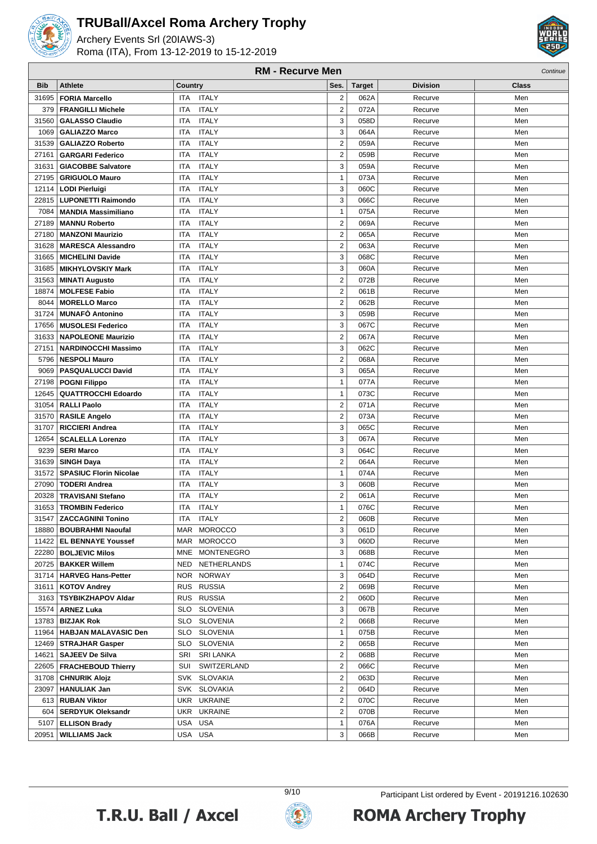

Archery Events Srl (20IAWS-3) Roma (ITA), From 13-12-2019 to 15-12-2019



|                | <b>RM - Recurve Men</b><br>Continue               |                                         |                                |               |                    |              |  |
|----------------|---------------------------------------------------|-----------------------------------------|--------------------------------|---------------|--------------------|--------------|--|
| <b>Bib</b>     | <b>Athlete</b>                                    | Country                                 | Ses.                           | <b>Target</b> | <b>Division</b>    | <b>Class</b> |  |
| 31695          | <b>FORIA Marcello</b>                             | <b>ITA</b><br><b>ITALY</b>              | $\overline{2}$                 | 062A          | Recurve            | Men          |  |
| 379            | <b>FRANGILLI Michele</b>                          | <b>ITALY</b><br><b>ITA</b>              | $\overline{2}$                 | 072A          | Recurve            | Men          |  |
| 31560          | <b>GALASSO Claudio</b>                            | <b>ITALY</b><br>ITA                     | 3                              | 058D          | Recurve            | Men          |  |
| 1069           | <b>GALIAZZO Marco</b>                             | <b>ITALY</b><br>ITA                     | 3                              | 064A          | Recurve            | Men          |  |
| 31539          | <b>GALIAZZO Roberto</b>                           | <b>ITALY</b><br><b>ITA</b>              | $\overline{2}$                 | 059A          | Recurve            | Men          |  |
| 27161          | <b>GARGARI Federico</b>                           | <b>ITALY</b><br>ITA                     | $\overline{c}$                 | 059B          | Recurve            | Men          |  |
| 31631          | <b>GIACOBBE Salvatore</b>                         | <b>ITALY</b><br>ITA                     | 3                              | 059A          | Recurve            | Men          |  |
| 27195          | <b>GRIGUOLO Mauro</b>                             | <b>ITALY</b><br>ITA                     | $\mathbf{1}$                   | 073A          | Recurve            | Men          |  |
| 12114          | <b>LODI Pierluigi</b>                             | <b>ITALY</b><br>ITA                     | 3                              | 060C          | Recurve            | Men          |  |
| 22815          | <b>LUPONETTI Raimondo</b>                         | <b>ITA</b><br><b>ITALY</b>              | 3                              | 066C          | Recurve            | Men          |  |
| 7084           | <b>MANDIA Massimiliano</b>                        | <b>ITALY</b><br><b>ITA</b>              | $\mathbf{1}$                   | 075A          | Recurve            | Men          |  |
| 27189          | <b>MANNU Roberto</b>                              | <b>ITALY</b><br>ITA                     | $\overline{2}$                 | 069A          | Recurve            | Men          |  |
| 27180          | <b>MANZONI Maurizio</b>                           | <b>ITALY</b><br>ITA                     | $\overline{c}$                 | 065A          | Recurve            | Men          |  |
| 31628          | <b>MARESCA Alessandro</b>                         | <b>ITALY</b><br>ITA                     | $\overline{2}$                 | 063A          | Recurve            | Men          |  |
| 31665          | <b>MICHELINI Davide</b>                           | <b>ITALY</b><br>ITA                     | 3                              | 068C          | Recurve            | Men          |  |
| 31685          | <b>MIKHYLOVSKIY Mark</b>                          | <b>ITALY</b><br>ITA                     | 3                              | 060A          | Recurve            | Men          |  |
| 31563          | <b>MINATI Augusto</b>                             | <b>ITALY</b><br>ITA                     | $\overline{2}$                 | 072B          | Recurve            | Men          |  |
| 18874          | <b>MOLFESE Fabio</b>                              | <b>ITALY</b><br>ITA                     | $\overline{2}$                 | 061B          | Recurve            | Men          |  |
| 8044           | <b>MORELLO Marco</b>                              | <b>ITALY</b><br>ITA                     | $\overline{2}$                 | 062B          | Recurve            | Men          |  |
| 31724          | <b>MUNAFO Antonino</b>                            | <b>ITALY</b><br><b>ITA</b>              | 3                              | 059B          | Recurve            | Men          |  |
| 17656          | <b>MUSOLESI Federico</b>                          | <b>ITALY</b><br>ITA                     | 3                              | 067C          | Recurve            | Men          |  |
| 31633          | <b>NAPOLEONE Maurizio</b>                         | <b>ITALY</b><br>ITA                     | $\overline{c}$                 | 067A          | Recurve            | Men          |  |
| 27151          | <b>NARDINOCCHI Massimo</b>                        | <b>ITALY</b><br>ITA                     | 3                              | 062C          | Recurve            | Men          |  |
| 5796           | <b>NESPOLI Mauro</b>                              | <b>ITALY</b><br>ITA                     | $\overline{2}$                 | 068A          | Recurve            | Men          |  |
| 9069           | <b>PASQUALUCCI David</b>                          | <b>ITALY</b><br>ITA                     | 3                              | 065A          | Recurve            | Men          |  |
| 27198          | <b>POGNI Filippo</b>                              | <b>ITALY</b><br>ITA                     | $\mathbf{1}$                   | 077A          | Recurve            | Men          |  |
| 12645          | <b>QUATTROCCHI Edoardo</b>                        | <b>ITALY</b><br><b>ITA</b>              | $\mathbf{1}$                   | 073C          | Recurve            | Men          |  |
| 31054          | <b>RALLI Paolo</b>                                | <b>ITALY</b><br><b>ITA</b>              | $\overline{2}$                 | 071A          | Recurve            | Men          |  |
| 31570          | <b>RASILE Angelo</b>                              | <b>ITALY</b><br><b>ITA</b>              | $\overline{2}$                 | 073A          | Recurve            | Men          |  |
| 31707          | <b>RICCIERI Andrea</b>                            | <b>ITALY</b><br>ITA                     | 3                              | 065C          | Recurve            | Men          |  |
| 12654          | <b>SCALELLA Lorenzo</b>                           | <b>ITALY</b><br>ITA                     | 3                              | 067A          | Recurve            | Men          |  |
| 9239           | <b>SERI Marco</b>                                 | <b>ITALY</b><br><b>ITA</b>              | 3                              | 064C          | Recurve            | Men          |  |
| 31639          | <b>SINGH Daya</b>                                 | <b>ITALY</b><br>ITA                     | $\overline{2}$                 | 064A          | Recurve            | Men          |  |
| 31572          | <b>SPASIUC Florin Nicolae</b>                     | <b>ITALY</b><br>ITA                     | $\mathbf{1}$                   | 074A          | Recurve            | Men          |  |
| 27090          | <b>TODERI Andrea</b>                              | <b>ITALY</b><br>ITA                     | 3                              | 060B          | Recurve            | Men          |  |
| 20328          | TRAVISANI Stefano                                 | <b>ITALY</b><br>ITA                     | $\overline{2}$                 | 061A          | Recurve            | Men          |  |
| 31653          | <b>TROMBIN Federico</b>                           | <b>ITA</b><br><b>ITALY</b>              | $\mathbf{1}$                   | 076C          | Recurve            | Men          |  |
| 31547          | <b>ZACCAGNINI Tonino</b>                          | ITA ITALY                               | 2                              | 060B          | Recurve            | Men          |  |
| 18880          | <b>BOUBRAHMI Naoufal</b>                          | MAR MOROCCO                             | 3                              | 061D          | Recurve            | Men          |  |
| 11422          | <b>EL BENNAYE Youssef</b>                         | MAR MOROCCO                             | 3                              | 060D          | Recurve            | Men          |  |
| 22280          | <b>BOLJEVIC Milos</b>                             | MNE MONTENEGRO                          | 3                              | 068B          | Recurve            | Men          |  |
| 20725          | <b>BAKKER Willem</b>                              | NED NETHERLANDS                         | $\mathbf{1}$                   | 074C          | Recurve            | Men          |  |
| 31714          | <b>HARVEG Hans-Petter</b>                         | NOR NORWAY                              | 3                              | 064D          | Recurve            | Men          |  |
| 31611          | <b>KOTOV Andrey</b>                               | <b>RUSSIA</b><br><b>RUS</b>             | $\overline{2}$                 | 069B          | Recurve            | Men          |  |
| 3163           | <b>TSYBIKZHAPOV Aldar</b>                         | RUS RUSSIA                              | $\overline{2}$                 | 060D          | Recurve            | Men          |  |
| 15574          | <b>ARNEZ Luka</b>                                 | <b>SLOVENIA</b><br>SLO                  | 3<br>$\sqrt{2}$                | 067B          | Recurve            | Men          |  |
| 13783          | <b>BIZJAK Rok</b>                                 | SLO SLOVENIA                            |                                | 066B          | Recurve            | Men          |  |
| 11964          | <b>HABJAN MALAVASIC Den</b>                       | <b>SLOVENIA</b><br>SLO                  | $\mathbf{1}$<br>$\overline{2}$ | 075B<br>065B  | Recurve            | Men<br>Men   |  |
| 12469<br>14621 | <b>STRAJHAR Gasper</b><br><b>SAJEEV De Silva</b>  | SLO SLOVENIA<br>SRI<br><b>SRI LANKA</b> | $\overline{2}$                 | 068B          | Recurve            | Men          |  |
| 22605          |                                                   | SWITZERLAND<br>SUI                      | $\overline{2}$                 | 066C          | Recurve<br>Recurve | Men          |  |
| 31708          | <b>FRACHEBOUD Thierry</b><br><b>CHNURIK Alojz</b> | SVK SLOVAKIA                            | $\boldsymbol{2}$               | 063D          |                    | Men          |  |
| 23097          | <b>HANULIAK Jan</b>                               | <b>SLOVAKIA</b><br>SVK                  | $\overline{2}$                 | 064D          | Recurve<br>Recurve | Men          |  |
| 613            | <b>RUBAN Viktor</b>                               | <b>UKRAINE</b><br>UKR                   | $\overline{2}$                 | 070C          | Recurve            | Men          |  |
| 604            | <b>SERDYUK Oleksandr</b>                          | <b>UKRAINE</b><br>UKR                   | $\overline{2}$                 | 070B          | Recurve            | Men          |  |
| 5107           | <b>ELLISON Brady</b>                              | <b>USA</b><br>USA                       | $\mathbf{1}$                   | 076A          | Recurve            | Men          |  |
| 20951          | WILLIAMS Jack                                     | USA USA                                 | 3                              | 066B          | Recurve            | Men          |  |
|                |                                                   |                                         |                                |               |                    |              |  |